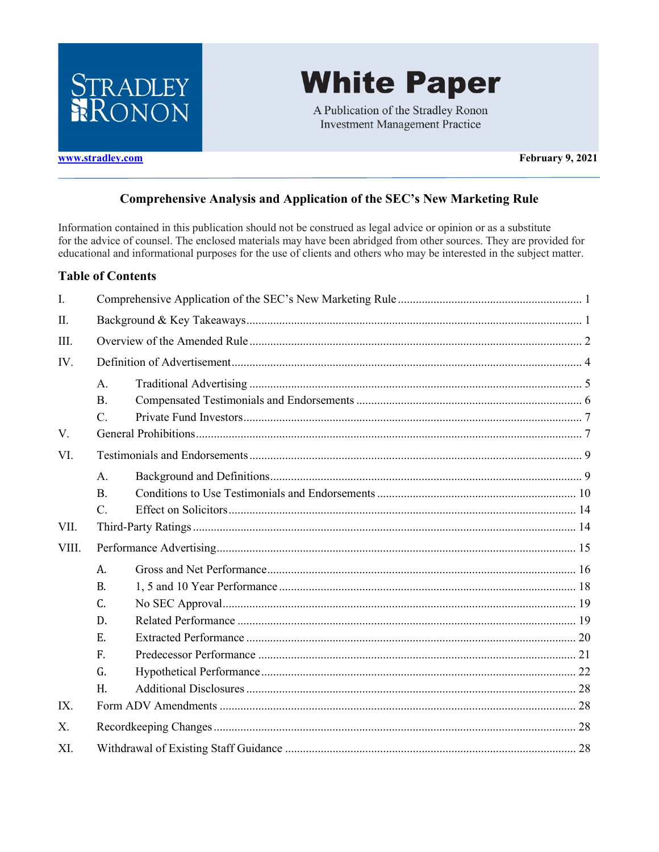

# **White Paper**

A Publication of the Stradley Ronon **Investment Management Practice** 

www.stradley.com

February 9, 2021

#### **Comprehensive Analysis and Application of the SEC's New Marketing Rule**

Information contained in this publication should not be construed as legal advice or opinion or as a substitute for the advice of counsel. The enclosed materials may have been abridged from other sources. They are provided for educational and informational purposes for the use of clients and others who may be interested in the subject matter.

#### **Table of Contents**

| $\mathbf{I}$ . |           |  |  |  |  |  |
|----------------|-----------|--|--|--|--|--|
| II.            |           |  |  |  |  |  |
| III.           |           |  |  |  |  |  |
| IV.            |           |  |  |  |  |  |
|                | A.        |  |  |  |  |  |
|                | <b>B.</b> |  |  |  |  |  |
|                | $C$ .     |  |  |  |  |  |
| V.             |           |  |  |  |  |  |
| VI.            |           |  |  |  |  |  |
|                | A.        |  |  |  |  |  |
|                | <b>B.</b> |  |  |  |  |  |
|                | $C$ .     |  |  |  |  |  |
| VII.           |           |  |  |  |  |  |
| VIII.          |           |  |  |  |  |  |
|                | A.        |  |  |  |  |  |
|                | B.        |  |  |  |  |  |
|                | C.        |  |  |  |  |  |
|                | D.        |  |  |  |  |  |
|                | E.        |  |  |  |  |  |
|                | F.        |  |  |  |  |  |
|                | G.        |  |  |  |  |  |
|                | H.        |  |  |  |  |  |
| IX.            |           |  |  |  |  |  |
| X.             |           |  |  |  |  |  |
| XI.            |           |  |  |  |  |  |
|                |           |  |  |  |  |  |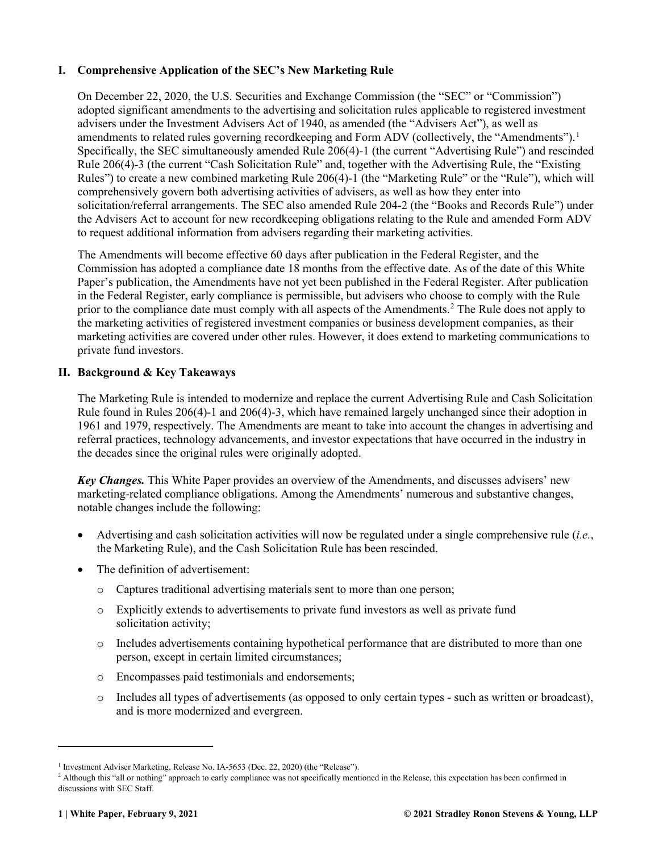#### <span id="page-1-0"></span>**I. Comprehensive Application of the SEC's New Marketing Rule**

On December 22, 2020, the U.S. Securities and Exchange Commission (the "SEC" or "Commission") adopted significant amendments to the advertising and solicitation rules applicable to registered investment advisers under the Investment Advisers Act of 1940, as amended (the "Advisers Act"), as well as amendments to related rules governing recordkeeping and Form ADV (collectively, the "Amendments").<sup>[1](#page-1-2)</sup> Specifically, the SEC simultaneously amended Rule 206(4)-1 (the current "Advertising Rule") and rescinded Rule 206(4)-3 (the current "Cash Solicitation Rule" and, together with the Advertising Rule, the "Existing Rules") to create a new combined marketing Rule 206(4)-1 (the "Marketing Rule" or the "Rule"), which will comprehensively govern both advertising activities of advisers, as well as how they enter into solicitation/referral arrangements. The SEC also amended Rule 204-2 (the "Books and Records Rule") under the Advisers Act to account for new recordkeeping obligations relating to the Rule and amended Form ADV to request additional information from advisers regarding their marketing activities.

The Amendments will become effective 60 days after publication in the Federal Register, and the Commission has adopted a compliance date 18 months from the effective date. As of the date of this White Paper's publication, the Amendments have not yet been published in the Federal Register. After publication in the Federal Register, early compliance is permissible, but advisers who choose to comply with the Rule prior to the compliance date must comply with all aspects of the Amendments.[2](#page-1-3) The Rule does not apply to the marketing activities of registered investment companies or business development companies, as their marketing activities are covered under other rules. However, it does extend to marketing communications to private fund investors.

#### <span id="page-1-1"></span>**II. Background & Key Takeaways**

The Marketing Rule is intended to modernize and replace the current Advertising Rule and Cash Solicitation Rule found in Rules 206(4)-1 and 206(4)-3, which have remained largely unchanged since their adoption in 1961 and 1979, respectively. The Amendments are meant to take into account the changes in advertising and referral practices, technology advancements, and investor expectations that have occurred in the industry in the decades since the original rules were originally adopted.

*Key Changes.* This White Paper provides an overview of the Amendments, and discusses advisers' new marketing-related compliance obligations. Among the Amendments' numerous and substantive changes, notable changes include the following:

- Advertising and cash solicitation activities will now be regulated under a single comprehensive rule (*i.e.*, the Marketing Rule), and the Cash Solicitation Rule has been rescinded.
- The definition of advertisement:
	- o Captures traditional advertising materials sent to more than one person;
	- o Explicitly extends to advertisements to private fund investors as well as private fund solicitation activity;
	- o Includes advertisements containing hypothetical performance that are distributed to more than one person, except in certain limited circumstances;
	- o Encompasses paid testimonials and endorsements;
	- o Includes all types of advertisements (as opposed to only certain types such as written or broadcast), and is more modernized and evergreen.

<span id="page-1-2"></span><sup>&</sup>lt;sup>1</sup> Investment Adviser Marketing, Release No. IA-5653 (Dec. 22, 2020) (the "Release").

<span id="page-1-3"></span><sup>&</sup>lt;sup>2</sup> Although this "all or nothing" approach to early compliance was not specifically mentioned in the Release, this expectation has been confirmed in discussions with SEC Staff.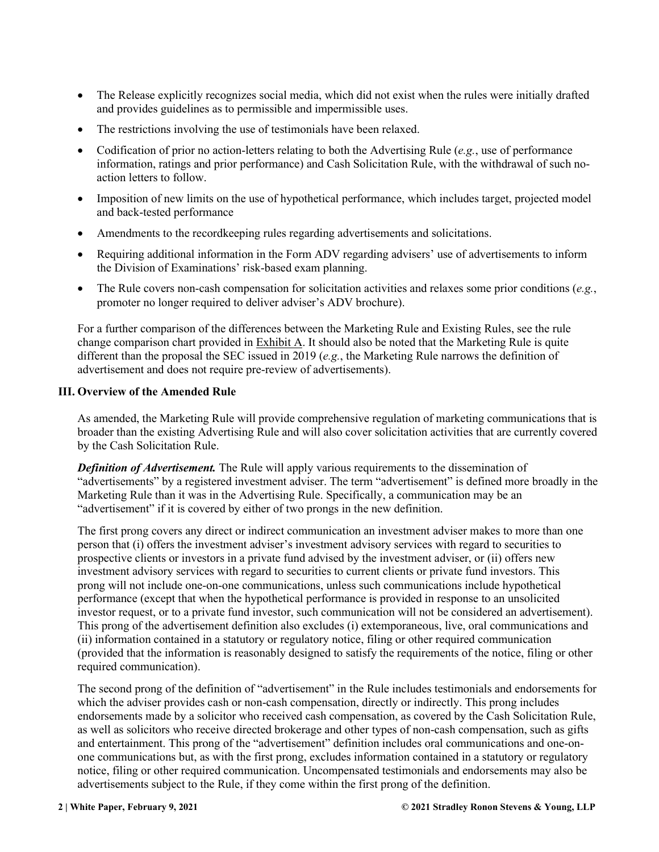- The Release explicitly recognizes social media, which did not exist when the rules were initially drafted and provides guidelines as to permissible and impermissible uses.
- The restrictions involving the use of testimonials have been relaxed.
- Codification of prior no action-letters relating to both the Advertising Rule (*e.g.*, use of performance information, ratings and prior performance) and Cash Solicitation Rule, with the withdrawal of such noaction letters to follow.
- Imposition of new limits on the use of hypothetical performance, which includes target, projected model and back-tested performance
- Amendments to the recordkeeping rules regarding advertisements and solicitations.
- Requiring additional information in the Form ADV regarding advisers' use of advertisements to inform the Division of Examinations' risk-based exam planning.
- The Rule covers non-cash compensation for solicitation activities and relaxes some prior conditions (*e.g.*, promoter no longer required to deliver adviser's ADV brochure).

For a further comparison of the differences between the Marketing Rule and Existing Rules, see the rule change comparison chart provided in Exhibit A. It should also be noted that the Marketing Rule is quite different than the proposal the SEC issued in 2019 (*e.g.*, the Marketing Rule narrows the definition of advertisement and does not require pre-review of advertisements).

#### <span id="page-2-0"></span>**III. Overview of the Amended Rule**

As amended, the Marketing Rule will provide comprehensive regulation of marketing communications that is broader than the existing Advertising Rule and will also cover solicitation activities that are currently covered by the Cash Solicitation Rule.

*Definition of Advertisement.* The Rule will apply various requirements to the dissemination of "advertisements" by a registered investment adviser. The term "advertisement" is defined more broadly in the Marketing Rule than it was in the Advertising Rule. Specifically, a communication may be an "advertisement" if it is covered by either of two prongs in the new definition.

The first prong covers any direct or indirect communication an investment adviser makes to more than one person that (i) offers the investment adviser's investment advisory services with regard to securities to prospective clients or investors in a private fund advised by the investment adviser, or (ii) offers new investment advisory services with regard to securities to current clients or private fund investors. This prong will not include one-on-one communications, unless such communications include hypothetical performance (except that when the hypothetical performance is provided in response to an unsolicited investor request, or to a private fund investor, such communication will not be considered an advertisement). This prong of the advertisement definition also excludes (i) extemporaneous, live, oral communications and (ii) information contained in a statutory or regulatory notice, filing or other required communication (provided that the information is reasonably designed to satisfy the requirements of the notice, filing or other required communication).

The second prong of the definition of "advertisement" in the Rule includes testimonials and endorsements for which the adviser provides cash or non-cash compensation, directly or indirectly. This prong includes endorsements made by a solicitor who received cash compensation, as covered by the Cash Solicitation Rule, as well as solicitors who receive directed brokerage and other types of non-cash compensation, such as gifts and entertainment. This prong of the "advertisement" definition includes oral communications and one-onone communications but, as with the first prong, excludes information contained in a statutory or regulatory notice, filing or other required communication. Uncompensated testimonials and endorsements may also be advertisements subject to the Rule, if they come within the first prong of the definition.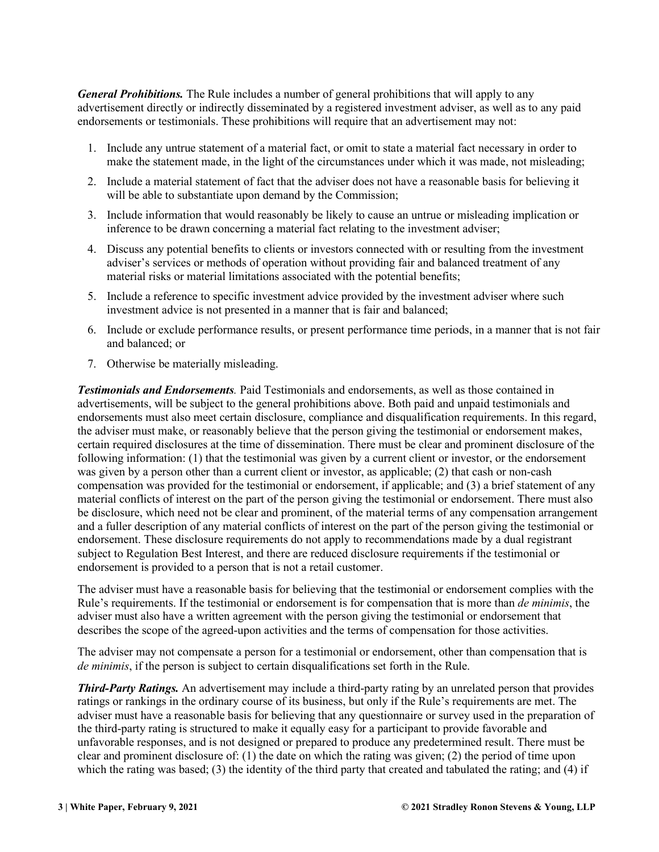*General Prohibitions.* The Rule includes a number of general prohibitions that will apply to any advertisement directly or indirectly disseminated by a registered investment adviser, as well as to any paid endorsements or testimonials. These prohibitions will require that an advertisement may not:

- 1. Include any untrue statement of a material fact, or omit to state a material fact necessary in order to make the statement made, in the light of the circumstances under which it was made, not misleading;
- 2. Include a material statement of fact that the adviser does not have a reasonable basis for believing it will be able to substantiate upon demand by the Commission;
- 3. Include information that would reasonably be likely to cause an untrue or misleading implication or inference to be drawn concerning a material fact relating to the investment adviser;
- 4. Discuss any potential benefits to clients or investors connected with or resulting from the investment adviser's services or methods of operation without providing fair and balanced treatment of any material risks or material limitations associated with the potential benefits;
- 5. Include a reference to specific investment advice provided by the investment adviser where such investment advice is not presented in a manner that is fair and balanced;
- 6. Include or exclude performance results, or present performance time periods, in a manner that is not fair and balanced; or
- 7. Otherwise be materially misleading.

*Testimonials and Endorsements.* Paid Testimonials and endorsements, as well as those contained in advertisements, will be subject to the general prohibitions above. Both paid and unpaid testimonials and endorsements must also meet certain disclosure, compliance and disqualification requirements. In this regard, the adviser must make, or reasonably believe that the person giving the testimonial or endorsement makes, certain required disclosures at the time of dissemination. There must be clear and prominent disclosure of the following information: (1) that the testimonial was given by a current client or investor, or the endorsement was given by a person other than a current client or investor, as applicable; (2) that cash or non-cash compensation was provided for the testimonial or endorsement, if applicable; and (3) a brief statement of any material conflicts of interest on the part of the person giving the testimonial or endorsement. There must also be disclosure, which need not be clear and prominent, of the material terms of any compensation arrangement and a fuller description of any material conflicts of interest on the part of the person giving the testimonial or endorsement. These disclosure requirements do not apply to recommendations made by a dual registrant subject to Regulation Best Interest, and there are reduced disclosure requirements if the testimonial or endorsement is provided to a person that is not a retail customer.

The adviser must have a reasonable basis for believing that the testimonial or endorsement complies with the Rule's requirements. If the testimonial or endorsement is for compensation that is more than *de minimis*, the adviser must also have a written agreement with the person giving the testimonial or endorsement that describes the scope of the agreed-upon activities and the terms of compensation for those activities.

The adviser may not compensate a person for a testimonial or endorsement, other than compensation that is *de minimis*, if the person is subject to certain disqualifications set forth in the Rule.

*Third-Party Ratings.* An advertisement may include a third-party rating by an unrelated person that provides ratings or rankings in the ordinary course of its business, but only if the Rule's requirements are met. The adviser must have a reasonable basis for believing that any questionnaire or survey used in the preparation of the third-party rating is structured to make it equally easy for a participant to provide favorable and unfavorable responses, and is not designed or prepared to produce any predetermined result. There must be clear and prominent disclosure of: (1) the date on which the rating was given; (2) the period of time upon which the rating was based; (3) the identity of the third party that created and tabulated the rating; and (4) if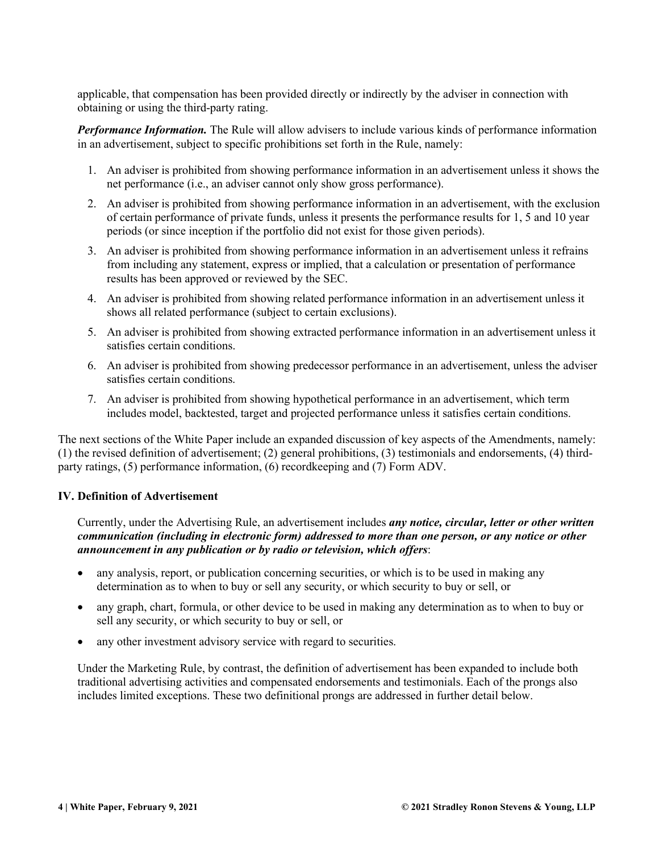applicable, that compensation has been provided directly or indirectly by the adviser in connection with obtaining or using the third-party rating.

*Performance Information.* The Rule will allow advisers to include various kinds of performance information in an advertisement, subject to specific prohibitions set forth in the Rule, namely:

- 1. An adviser is prohibited from showing performance information in an advertisement unless it shows the net performance (i.e., an adviser cannot only show gross performance).
- 2. An adviser is prohibited from showing performance information in an advertisement, with the exclusion of certain performance of private funds, unless it presents the performance results for 1, 5 and 10 year periods (or since inception if the portfolio did not exist for those given periods).
- 3. An adviser is prohibited from showing performance information in an advertisement unless it refrains from including any statement, express or implied, that a calculation or presentation of performance results has been approved or reviewed by the SEC.
- 4. An adviser is prohibited from showing related performance information in an advertisement unless it shows all related performance (subject to certain exclusions).
- 5. An adviser is prohibited from showing extracted performance information in an advertisement unless it satisfies certain conditions.
- 6. An adviser is prohibited from showing predecessor performance in an advertisement, unless the adviser satisfies certain conditions.
- 7. An adviser is prohibited from showing hypothetical performance in an advertisement, which term includes model, backtested, target and projected performance unless it satisfies certain conditions.

The next sections of the White Paper include an expanded discussion of key aspects of the Amendments, namely: (1) the revised definition of advertisement; (2) general prohibitions, (3) testimonials and endorsements, (4) thirdparty ratings, (5) performance information, (6) recordkeeping and (7) Form ADV.

#### <span id="page-4-0"></span>**IV. Definition of Advertisement**

Currently, under the Advertising Rule, an advertisement includes *any notice, circular, letter or other written communication (including in electronic form) addressed to more than one person, or any notice or other announcement in any publication or by radio or television, which offers*:

- any analysis, report, or publication concerning securities, or which is to be used in making any determination as to when to buy or sell any security, or which security to buy or sell, or
- any graph, chart, formula, or other device to be used in making any determination as to when to buy or sell any security, or which security to buy or sell, or
- any other investment advisory service with regard to securities.

Under the Marketing Rule, by contrast, the definition of advertisement has been expanded to include both traditional advertising activities and compensated endorsements and testimonials. Each of the prongs also includes limited exceptions. These two definitional prongs are addressed in further detail below.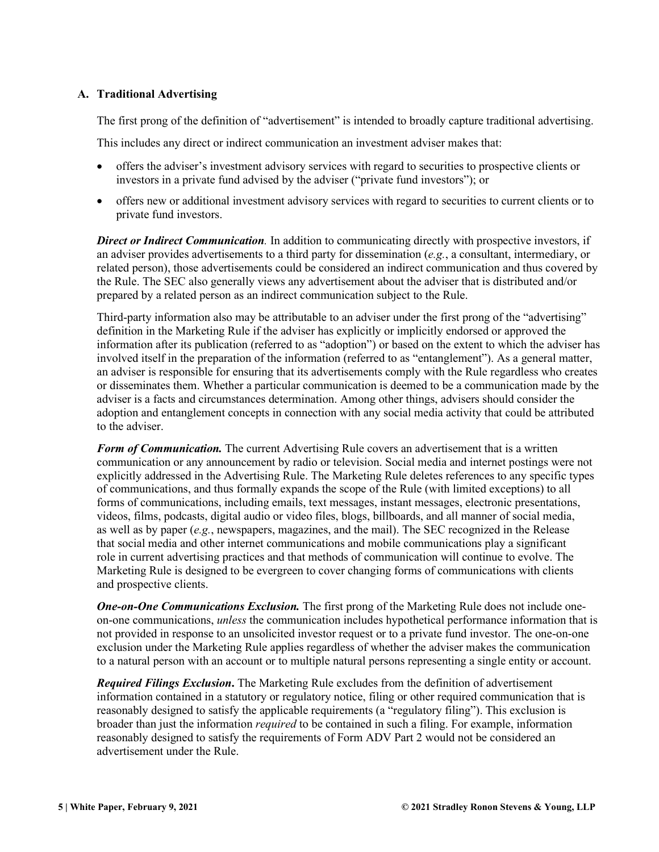#### <span id="page-5-0"></span>**A. Traditional Advertising**

The first prong of the definition of "advertisement" is intended to broadly capture traditional advertising.

This includes any direct or indirect communication an investment adviser makes that:

- offers the adviser's investment advisory services with regard to securities to prospective clients or investors in a private fund advised by the adviser ("private fund investors"); or
- offers new or additional investment advisory services with regard to securities to current clients or to private fund investors.

*Direct or Indirect Communication.* In addition to communicating directly with prospective investors, if an adviser provides advertisements to a third party for dissemination (*e.g.*, a consultant, intermediary, or related person), those advertisements could be considered an indirect communication and thus covered by the Rule. The SEC also generally views any advertisement about the adviser that is distributed and/or prepared by a related person as an indirect communication subject to the Rule.

Third-party information also may be attributable to an adviser under the first prong of the "advertising" definition in the Marketing Rule if the adviser has explicitly or implicitly endorsed or approved the information after its publication (referred to as "adoption") or based on the extent to which the adviser has involved itself in the preparation of the information (referred to as "entanglement"). As a general matter, an adviser is responsible for ensuring that its advertisements comply with the Rule regardless who creates or disseminates them. Whether a particular communication is deemed to be a communication made by the adviser is a facts and circumstances determination. Among other things, advisers should consider the adoption and entanglement concepts in connection with any social media activity that could be attributed to the adviser.

*Form of Communication.* The current Advertising Rule covers an advertisement that is a written communication or any announcement by radio or television. Social media and internet postings were not explicitly addressed in the Advertising Rule. The Marketing Rule deletes references to any specific types of communications, and thus formally expands the scope of the Rule (with limited exceptions) to all forms of communications, including emails, text messages, instant messages, electronic presentations, videos, films, podcasts, digital audio or video files, blogs, billboards, and all manner of social media, as well as by paper (*e.g.*, newspapers, magazines, and the mail). The SEC recognized in the Release that social media and other internet communications and mobile communications play a significant role in current advertising practices and that methods of communication will continue to evolve. The Marketing Rule is designed to be evergreen to cover changing forms of communications with clients and prospective clients.

*One-on-One Communications Exclusion.* The first prong of the Marketing Rule does not include oneon-one communications, *unless* the communication includes hypothetical performance information that is not provided in response to an unsolicited investor request or to a private fund investor. The one-on-one exclusion under the Marketing Rule applies regardless of whether the adviser makes the communication to a natural person with an account or to multiple natural persons representing a single entity or account.

*Required Filings Exclusion***.** The Marketing Rule excludes from the definition of advertisement information contained in a statutory or regulatory notice, filing or other required communication that is reasonably designed to satisfy the applicable requirements (a "regulatory filing"). This exclusion is broader than just the information *required* to be contained in such a filing. For example, information reasonably designed to satisfy the requirements of Form ADV Part 2 would not be considered an advertisement under the Rule.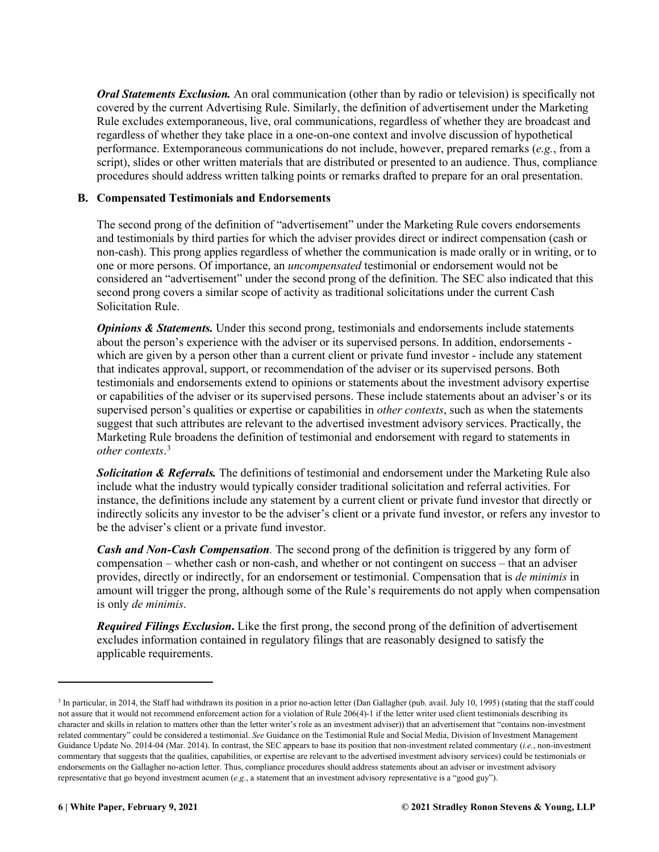*Oral Statements Exclusion.* An oral communication (other than by radio or television) is specifically not covered by the current Advertising Rule. Similarly, the definition of advertisement under the Marketing Rule excludes extemporaneous, live, oral communications, regardless of whether they are broadcast and regardless of whether they take place in a one-on-one context and involve discussion of hypothetical performance. Extemporaneous communications do not include, however, prepared remarks (*e.g.*, from a script), slides or other written materials that are distributed or presented to an audience. Thus, compliance procedures should address written talking points or remarks drafted to prepare for an oral presentation.

#### <span id="page-6-0"></span>**B. Compensated Testimonials and Endorsements**

The second prong of the definition of "advertisement" under the Marketing Rule covers endorsements and testimonials by third parties for which the adviser provides direct or indirect compensation (cash or non-cash). This prong applies regardless of whether the communication is made orally or in writing, or to one or more persons. Of importance, an *uncompensated* testimonial or endorsement would not be considered an "advertisement" under the second prong of the definition. The SEC also indicated that this second prong covers a similar scope of activity as traditional solicitations under the current Cash Solicitation Rule.

*Opinions & Statements.* Under this second prong, testimonials and endorsements include statements about the person's experience with the adviser or its supervised persons. In addition, endorsements which are given by a person other than a current client or private fund investor - include any statement that indicates approval, support, or recommendation of the adviser or its supervised persons. Both testimonials and endorsements extend to opinions or statements about the investment advisory expertise or capabilities of the adviser or its supervised persons. These include statements about an adviser's or its supervised person's qualities or expertise or capabilities in *other contexts*, such as when the statements suggest that such attributes are relevant to the advertised investment advisory services. Practically, the Marketing Rule broadens the definition of testimonial and endorsement with regard to statements in *other contexts*. [3](#page-6-1)

*Solicitation & Referrals.* The definitions of testimonial and endorsement under the Marketing Rule also include what the industry would typically consider traditional solicitation and referral activities. For instance, the definitions include any statement by a current client or private fund investor that directly or indirectly solicits any investor to be the adviser's client or a private fund investor, or refers any investor to be the adviser's client or a private fund investor.

*Cash and Non-Cash Compensation.* The second prong of the definition is triggered by any form of compensation – whether cash or non-cash, and whether or not contingent on success – that an adviser provides, directly or indirectly, for an endorsement or testimonial. Compensation that is *de minimis* in amount will trigger the prong, although some of the Rule's requirements do not apply when compensation is only *de minimis*.

*Required Filings Exclusion***.** Like the first prong, the second prong of the definition of advertisement excludes information contained in regulatory filings that are reasonably designed to satisfy the applicable requirements.

<span id="page-6-1"></span><sup>&</sup>lt;sup>3</sup> In particular, in 2014, the Staff had withdrawn its position in a prior no-action letter (Dan Gallagher (pub. avail. July 10, 1995) (stating that the staff could not assure that it would not recommend enforcement action for a violation of Rule 206(4)-1 if the letter writer used client testimonials describing its character and skills in relation to matters other than the letter writer's role as an investment adviser)) that an advertisement that "contains non-investment related commentary" could be considered a testimonial. *See* Guidance on the Testimonial Rule and Social Media, Division of Investment Management Guidance Update No. 2014-04 (Mar. 2014). In contrast, the SEC appears to base its position that non-investment related commentary (*i.e.*, non-investment commentary that suggests that the qualities, capabilities, or expertise are relevant to the advertised investment advisory services) could be testimonials or endorsements on the Gallagher no-action letter. Thus, compliance procedures should address statements about an adviser or investment advisory representative that go beyond investment acumen (*e.g.*, a statement that an investment advisory representative is a "good guy").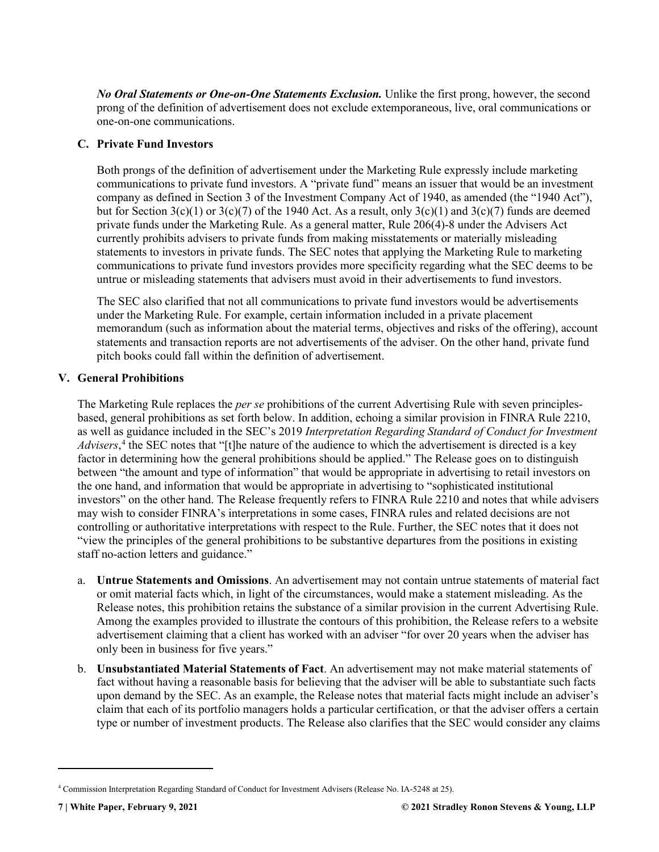*No Oral Statements or One-on-One Statements Exclusion.* Unlike the first prong, however, the second prong of the definition of advertisement does not exclude extemporaneous, live, oral communications or one-on-one communications.

#### <span id="page-7-0"></span>**C. Private Fund Investors**

Both prongs of the definition of advertisement under the Marketing Rule expressly include marketing communications to private fund investors. A "private fund" means an issuer that would be an investment company as defined in Section 3 of the Investment Company Act of 1940, as amended (the "1940 Act"), but for Section  $3(c)(1)$  or  $3(c)(7)$  of the 1940 Act. As a result, only  $3(c)(1)$  and  $3(c)(7)$  funds are deemed private funds under the Marketing Rule. As a general matter, Rule 206(4)-8 under the Advisers Act currently prohibits advisers to private funds from making misstatements or materially misleading statements to investors in private funds. The SEC notes that applying the Marketing Rule to marketing communications to private fund investors provides more specificity regarding what the SEC deems to be untrue or misleading statements that advisers must avoid in their advertisements to fund investors.

The SEC also clarified that not all communications to private fund investors would be advertisements under the Marketing Rule. For example, certain information included in a private placement memorandum (such as information about the material terms, objectives and risks of the offering), account statements and transaction reports are not advertisements of the adviser. On the other hand, private fund pitch books could fall within the definition of advertisement.

#### <span id="page-7-1"></span>**V. General Prohibitions**

The Marketing Rule replaces the *per se* prohibitions of the current Advertising Rule with seven principlesbased, general prohibitions as set forth below. In addition, echoing a similar provision in FINRA Rule 2210, as well as guidance included in the SEC's 2019 *Interpretation Regarding Standard of Conduct for Investment Advisers*, [4](#page-7-2) the SEC notes that "[t]he nature of the audience to which the advertisement is directed is a key factor in determining how the general prohibitions should be applied." The Release goes on to distinguish between "the amount and type of information" that would be appropriate in advertising to retail investors on the one hand, and information that would be appropriate in advertising to "sophisticated institutional investors" on the other hand. The Release frequently refers to FINRA Rule 2210 and notes that while advisers may wish to consider FINRA's interpretations in some cases, FINRA rules and related decisions are not controlling or authoritative interpretations with respect to the Rule. Further, the SEC notes that it does not "view the principles of the general prohibitions to be substantive departures from the positions in existing staff no-action letters and guidance."

- a. **Untrue Statements and Omissions**. An advertisement may not contain untrue statements of material fact or omit material facts which, in light of the circumstances, would make a statement misleading. As the Release notes, this prohibition retains the substance of a similar provision in the current Advertising Rule. Among the examples provided to illustrate the contours of this prohibition, the Release refers to a website advertisement claiming that a client has worked with an adviser "for over 20 years when the adviser has only been in business for five years."
- b. **Unsubstantiated Material Statements of Fact**. An advertisement may not make material statements of fact without having a reasonable basis for believing that the adviser will be able to substantiate such facts upon demand by the SEC. As an example, the Release notes that material facts might include an adviser's claim that each of its portfolio managers holds a particular certification, or that the adviser offers a certain type or number of investment products. The Release also clarifies that the SEC would consider any claims

<span id="page-7-2"></span><sup>4</sup> Commission Interpretation Regarding Standard of Conduct for Investment Advisers (Release No. IA-5248 at 25).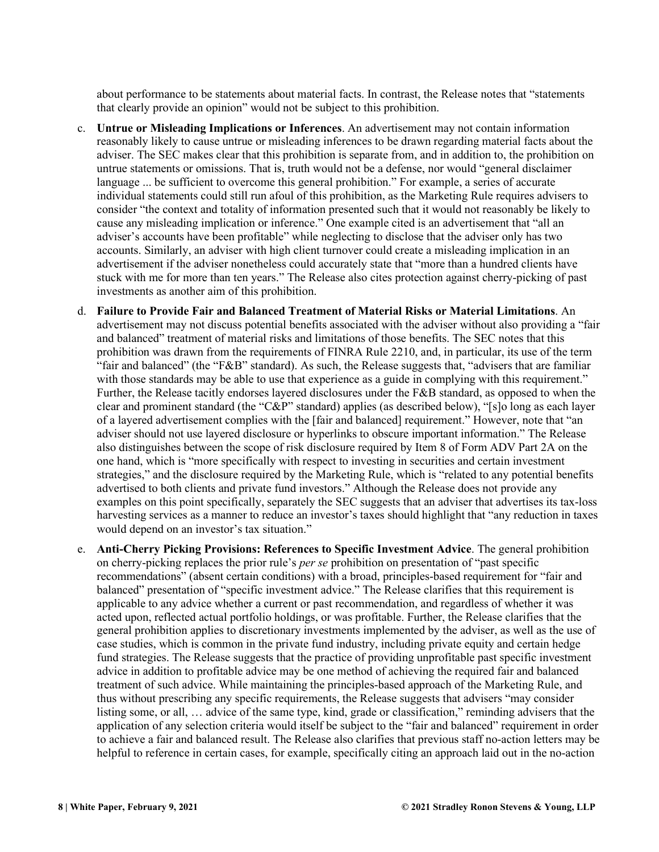about performance to be statements about material facts. In contrast, the Release notes that "statements that clearly provide an opinion" would not be subject to this prohibition.

- c. **Untrue or Misleading Implications or Inferences**. An advertisement may not contain information reasonably likely to cause untrue or misleading inferences to be drawn regarding material facts about the adviser. The SEC makes clear that this prohibition is separate from, and in addition to, the prohibition on untrue statements or omissions. That is, truth would not be a defense, nor would "general disclaimer language ... be sufficient to overcome this general prohibition." For example, a series of accurate individual statements could still run afoul of this prohibition, as the Marketing Rule requires advisers to consider "the context and totality of information presented such that it would not reasonably be likely to cause any misleading implication or inference." One example cited is an advertisement that "all an adviser's accounts have been profitable" while neglecting to disclose that the adviser only has two accounts. Similarly, an adviser with high client turnover could create a misleading implication in an advertisement if the adviser nonetheless could accurately state that "more than a hundred clients have stuck with me for more than ten years." The Release also cites protection against cherry-picking of past investments as another aim of this prohibition.
- d. **Failure to Provide Fair and Balanced Treatment of Material Risks or Material Limitations**. An advertisement may not discuss potential benefits associated with the adviser without also providing a "fair and balanced" treatment of material risks and limitations of those benefits. The SEC notes that this prohibition was drawn from the requirements of FINRA Rule 2210, and, in particular, its use of the term "fair and balanced" (the "F&B" standard). As such, the Release suggests that, "advisers that are familiar with those standards may be able to use that experience as a guide in complying with this requirement." Further, the Release tacitly endorses layered disclosures under the F&B standard, as opposed to when the clear and prominent standard (the "C&P" standard) applies (as described below), "[s]o long as each layer of a layered advertisement complies with the [fair and balanced] requirement." However, note that "an adviser should not use layered disclosure or hyperlinks to obscure important information." The Release also distinguishes between the scope of risk disclosure required by Item 8 of Form ADV Part 2A on the one hand, which is "more specifically with respect to investing in securities and certain investment strategies," and the disclosure required by the Marketing Rule, which is "related to any potential benefits advertised to both clients and private fund investors." Although the Release does not provide any examples on this point specifically, separately the SEC suggests that an adviser that advertises its tax-loss harvesting services as a manner to reduce an investor's taxes should highlight that "any reduction in taxes would depend on an investor's tax situation."
- e. **Anti-Cherry Picking Provisions: References to Specific Investment Advice**. The general prohibition on cherry-picking replaces the prior rule's *per se* prohibition on presentation of "past specific recommendations" (absent certain conditions) with a broad, principles-based requirement for "fair and balanced" presentation of "specific investment advice." The Release clarifies that this requirement is applicable to any advice whether a current or past recommendation, and regardless of whether it was acted upon, reflected actual portfolio holdings, or was profitable. Further, the Release clarifies that the general prohibition applies to discretionary investments implemented by the adviser, as well as the use of case studies, which is common in the private fund industry, including private equity and certain hedge fund strategies. The Release suggests that the practice of providing unprofitable past specific investment advice in addition to profitable advice may be one method of achieving the required fair and balanced treatment of such advice. While maintaining the principles-based approach of the Marketing Rule, and thus without prescribing any specific requirements, the Release suggests that advisers "may consider listing some, or all, … advice of the same type, kind, grade or classification," reminding advisers that the application of any selection criteria would itself be subject to the "fair and balanced" requirement in order to achieve a fair and balanced result. The Release also clarifies that previous staff no-action letters may be helpful to reference in certain cases, for example, specifically citing an approach laid out in the no-action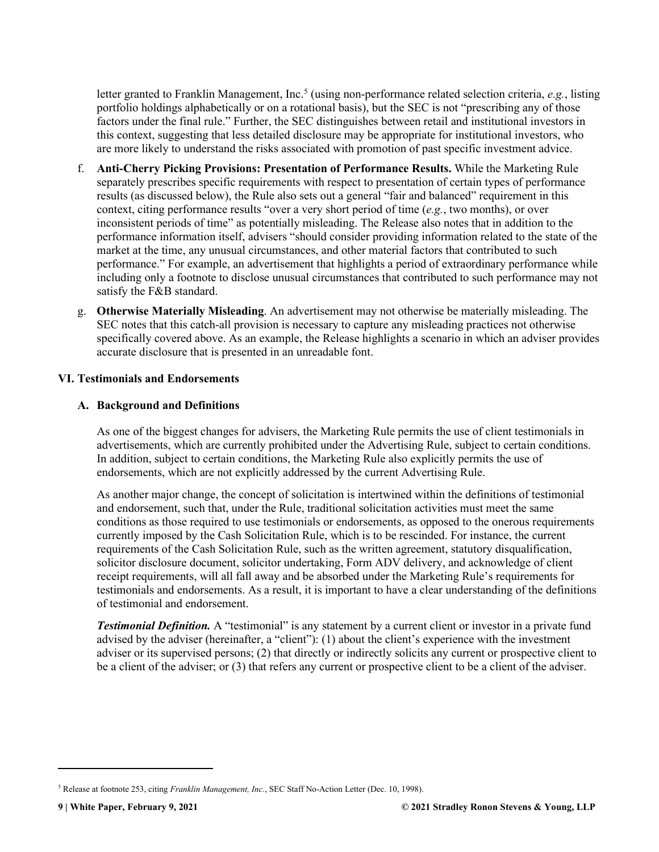letter granted to Franklin Management, Inc.[5](#page-9-2) (using non-performance related selection criteria, *e.g.*, listing portfolio holdings alphabetically or on a rotational basis), but the SEC is not "prescribing any of those factors under the final rule." Further, the SEC distinguishes between retail and institutional investors in this context, suggesting that less detailed disclosure may be appropriate for institutional investors, who are more likely to understand the risks associated with promotion of past specific investment advice.

- f. **Anti-Cherry Picking Provisions: Presentation of Performance Results.** While the Marketing Rule separately prescribes specific requirements with respect to presentation of certain types of performance results (as discussed below), the Rule also sets out a general "fair and balanced" requirement in this context, citing performance results "over a very short period of time (*e.g.*, two months), or over inconsistent periods of time" as potentially misleading. The Release also notes that in addition to the performance information itself, advisers "should consider providing information related to the state of the market at the time, any unusual circumstances, and other material factors that contributed to such performance." For example, an advertisement that highlights a period of extraordinary performance while including only a footnote to disclose unusual circumstances that contributed to such performance may not satisfy the F&B standard.
- g. **Otherwise Materially Misleading**. An advertisement may not otherwise be materially misleading. The SEC notes that this catch-all provision is necessary to capture any misleading practices not otherwise specifically covered above. As an example, the Release highlights a scenario in which an adviser provides accurate disclosure that is presented in an unreadable font.

#### <span id="page-9-0"></span>**VI. Testimonials and Endorsements**

#### <span id="page-9-1"></span>**A. Background and Definitions**

As one of the biggest changes for advisers, the Marketing Rule permits the use of client testimonials in advertisements, which are currently prohibited under the Advertising Rule, subject to certain conditions. In addition, subject to certain conditions, the Marketing Rule also explicitly permits the use of endorsements, which are not explicitly addressed by the current Advertising Rule.

As another major change, the concept of solicitation is intertwined within the definitions of testimonial and endorsement, such that, under the Rule, traditional solicitation activities must meet the same conditions as those required to use testimonials or endorsements, as opposed to the onerous requirements currently imposed by the Cash Solicitation Rule, which is to be rescinded. For instance, the current requirements of the Cash Solicitation Rule, such as the written agreement, statutory disqualification, solicitor disclosure document, solicitor undertaking, Form ADV delivery, and acknowledge of client receipt requirements, will all fall away and be absorbed under the Marketing Rule's requirements for testimonials and endorsements. As a result, it is important to have a clear understanding of the definitions of testimonial and endorsement.

**Testimonial Definition.** A "testimonial" is any statement by a current client or investor in a private fund advised by the adviser (hereinafter, a "client"): (1) about the client's experience with the investment adviser or its supervised persons; (2) that directly or indirectly solicits any current or prospective client to be a client of the adviser; or (3) that refers any current or prospective client to be a client of the adviser.

<span id="page-9-2"></span><sup>5</sup> Release at footnote 253, citing *Franklin Management, Inc.*, SEC Staff No-Action Letter (Dec. 10, 1998).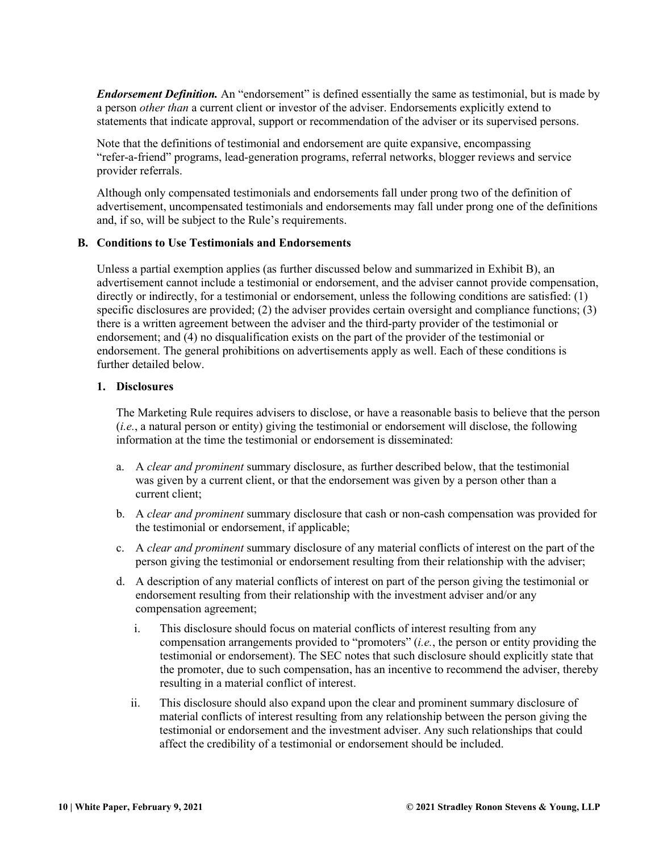*Endorsement Definition.* An "endorsement" is defined essentially the same as testimonial, but is made by a person *other than* a current client or investor of the adviser. Endorsements explicitly extend to statements that indicate approval, support or recommendation of the adviser or its supervised persons.

Note that the definitions of testimonial and endorsement are quite expansive, encompassing "refer-a-friend" programs, lead-generation programs, referral networks, blogger reviews and service provider referrals.

Although only compensated testimonials and endorsements fall under prong two of the definition of advertisement, uncompensated testimonials and endorsements may fall under prong one of the definitions and, if so, will be subject to the Rule's requirements.

#### <span id="page-10-0"></span>**B. Conditions to Use Testimonials and Endorsements**

Unless a partial exemption applies (as further discussed below and summarized in Exhibit B), an advertisement cannot include a testimonial or endorsement, and the adviser cannot provide compensation, directly or indirectly, for a testimonial or endorsement, unless the following conditions are satisfied: (1) specific disclosures are provided; (2) the adviser provides certain oversight and compliance functions; (3) there is a written agreement between the adviser and the third-party provider of the testimonial or endorsement; and (4) no disqualification exists on the part of the provider of the testimonial or endorsement. The general prohibitions on advertisements apply as well. Each of these conditions is further detailed below.

#### **1. Disclosures**

The Marketing Rule requires advisers to disclose, or have a reasonable basis to believe that the person (*i.e.*, a natural person or entity) giving the testimonial or endorsement will disclose, the following information at the time the testimonial or endorsement is disseminated:

- a. A *clear and prominent* summary disclosure, as further described below, that the testimonial was given by a current client, or that the endorsement was given by a person other than a current client;
- b. A *clear and prominent* summary disclosure that cash or non-cash compensation was provided for the testimonial or endorsement, if applicable;
- c. A *clear and prominent* summary disclosure of any material conflicts of interest on the part of the person giving the testimonial or endorsement resulting from their relationship with the adviser;
- d. A description of any material conflicts of interest on part of the person giving the testimonial or endorsement resulting from their relationship with the investment adviser and/or any compensation agreement;
	- i. This disclosure should focus on material conflicts of interest resulting from any compensation arrangements provided to "promoters" (*i.e.*, the person or entity providing the testimonial or endorsement). The SEC notes that such disclosure should explicitly state that the promoter, due to such compensation, has an incentive to recommend the adviser, thereby resulting in a material conflict of interest.
	- ii. This disclosure should also expand upon the clear and prominent summary disclosure of material conflicts of interest resulting from any relationship between the person giving the testimonial or endorsement and the investment adviser. Any such relationships that could affect the credibility of a testimonial or endorsement should be included.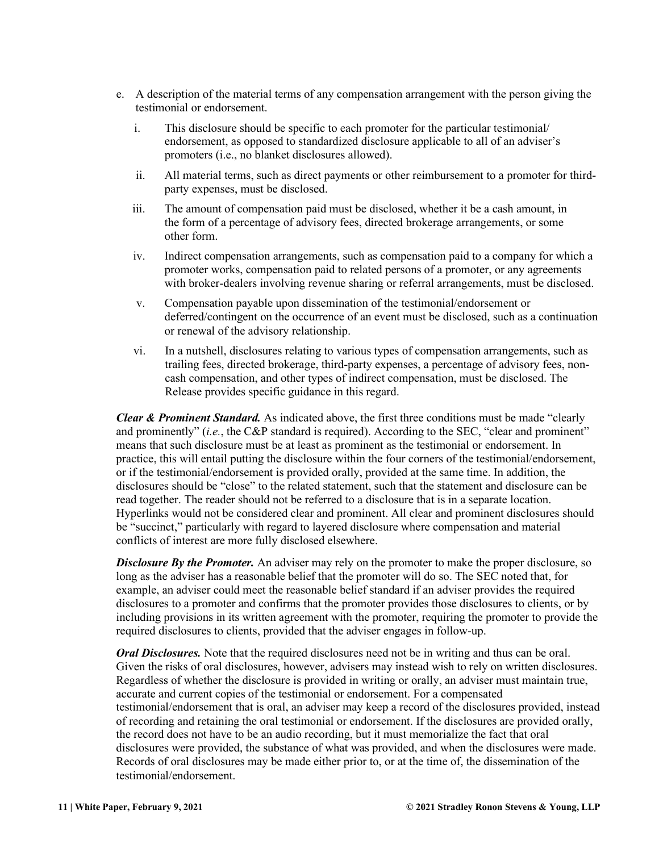- e. A description of the material terms of any compensation arrangement with the person giving the testimonial or endorsement.
	- i. This disclosure should be specific to each promoter for the particular testimonial/ endorsement, as opposed to standardized disclosure applicable to all of an adviser's promoters (i.e., no blanket disclosures allowed).
	- ii. All material terms, such as direct payments or other reimbursement to a promoter for thirdparty expenses, must be disclosed.
	- iii. The amount of compensation paid must be disclosed, whether it be a cash amount, in the form of a percentage of advisory fees, directed brokerage arrangements, or some other form.
	- iv. Indirect compensation arrangements, such as compensation paid to a company for which a promoter works, compensation paid to related persons of a promoter, or any agreements with broker-dealers involving revenue sharing or referral arrangements, must be disclosed.
	- v. Compensation payable upon dissemination of the testimonial/endorsement or deferred/contingent on the occurrence of an event must be disclosed, such as a continuation or renewal of the advisory relationship.
	- vi. In a nutshell, disclosures relating to various types of compensation arrangements, such as trailing fees, directed brokerage, third-party expenses, a percentage of advisory fees, noncash compensation, and other types of indirect compensation, must be disclosed. The Release provides specific guidance in this regard.

*Clear & Prominent Standard.* As indicated above, the first three conditions must be made "clearly and prominently" (*i.e.*, the C&P standard is required). According to the SEC, "clear and prominent" means that such disclosure must be at least as prominent as the testimonial or endorsement. In practice, this will entail putting the disclosure within the four corners of the testimonial/endorsement, or if the testimonial/endorsement is provided orally, provided at the same time. In addition, the disclosures should be "close" to the related statement, such that the statement and disclosure can be read together. The reader should not be referred to a disclosure that is in a separate location. Hyperlinks would not be considered clear and prominent. All clear and prominent disclosures should be "succinct," particularly with regard to layered disclosure where compensation and material conflicts of interest are more fully disclosed elsewhere.

**Disclosure By the Promoter.** An adviser may rely on the promoter to make the proper disclosure, so long as the adviser has a reasonable belief that the promoter will do so. The SEC noted that, for example, an adviser could meet the reasonable belief standard if an adviser provides the required disclosures to a promoter and confirms that the promoter provides those disclosures to clients, or by including provisions in its written agreement with the promoter, requiring the promoter to provide the required disclosures to clients, provided that the adviser engages in follow-up.

*Oral Disclosures.* Note that the required disclosures need not be in writing and thus can be oral. Given the risks of oral disclosures, however, advisers may instead wish to rely on written disclosures. Regardless of whether the disclosure is provided in writing or orally, an adviser must maintain true, accurate and current copies of the testimonial or endorsement. For a compensated testimonial/endorsement that is oral, an adviser may keep a record of the disclosures provided, instead of recording and retaining the oral testimonial or endorsement. If the disclosures are provided orally, the record does not have to be an audio recording, but it must memorialize the fact that oral disclosures were provided, the substance of what was provided, and when the disclosures were made. Records of oral disclosures may be made either prior to, or at the time of, the dissemination of the testimonial/endorsement.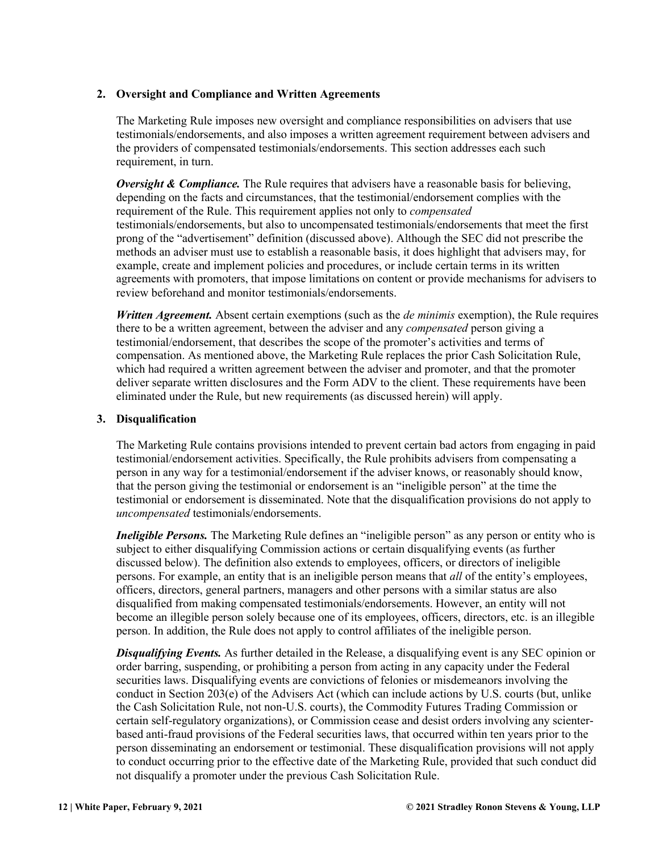#### **2. Oversight and Compliance and Written Agreements**

The Marketing Rule imposes new oversight and compliance responsibilities on advisers that use testimonials/endorsements, and also imposes a written agreement requirement between advisers and the providers of compensated testimonials/endorsements. This section addresses each such requirement, in turn.

*Oversight & Compliance.* The Rule requires that advisers have a reasonable basis for believing, depending on the facts and circumstances, that the testimonial/endorsement complies with the requirement of the Rule. This requirement applies not only to *compensated* testimonials/endorsements, but also to uncompensated testimonials/endorsements that meet the first prong of the "advertisement" definition (discussed above). Although the SEC did not prescribe the methods an adviser must use to establish a reasonable basis, it does highlight that advisers may, for example, create and implement policies and procedures, or include certain terms in its written agreements with promoters, that impose limitations on content or provide mechanisms for advisers to review beforehand and monitor testimonials/endorsements.

*Written Agreement.* Absent certain exemptions (such as the *de minimis* exemption), the Rule requires there to be a written agreement, between the adviser and any *compensated* person giving a testimonial/endorsement, that describes the scope of the promoter's activities and terms of compensation. As mentioned above, the Marketing Rule replaces the prior Cash Solicitation Rule, which had required a written agreement between the adviser and promoter, and that the promoter deliver separate written disclosures and the Form ADV to the client. These requirements have been eliminated under the Rule, but new requirements (as discussed herein) will apply.

#### **3. Disqualification**

The Marketing Rule contains provisions intended to prevent certain bad actors from engaging in paid testimonial/endorsement activities. Specifically, the Rule prohibits advisers from compensating a person in any way for a testimonial/endorsement if the adviser knows, or reasonably should know, that the person giving the testimonial or endorsement is an "ineligible person" at the time the testimonial or endorsement is disseminated. Note that the disqualification provisions do not apply to *uncompensated* testimonials/endorsements.

*Ineligible Persons.* The Marketing Rule defines an "ineligible person" as any person or entity who is subject to either disqualifying Commission actions or certain disqualifying events (as further discussed below). The definition also extends to employees, officers, or directors of ineligible persons. For example, an entity that is an ineligible person means that *all* of the entity's employees, officers, directors, general partners, managers and other persons with a similar status are also disqualified from making compensated testimonials/endorsements. However, an entity will not become an illegible person solely because one of its employees, officers, directors, etc. is an illegible person. In addition, the Rule does not apply to control affiliates of the ineligible person.

*Disqualifying Events.* As further detailed in the Release, a disqualifying event is any SEC opinion or order barring, suspending, or prohibiting a person from acting in any capacity under the Federal securities laws. Disqualifying events are convictions of felonies or misdemeanors involving the conduct in Section 203(e) of the Advisers Act (which can include actions by U.S. courts (but, unlike the Cash Solicitation Rule, not non-U.S. courts), the Commodity Futures Trading Commission or certain self-regulatory organizations), or Commission cease and desist orders involving any scienterbased anti-fraud provisions of the Federal securities laws, that occurred within ten years prior to the person disseminating an endorsement or testimonial. These disqualification provisions will not apply to conduct occurring prior to the effective date of the Marketing Rule, provided that such conduct did not disqualify a promoter under the previous Cash Solicitation Rule.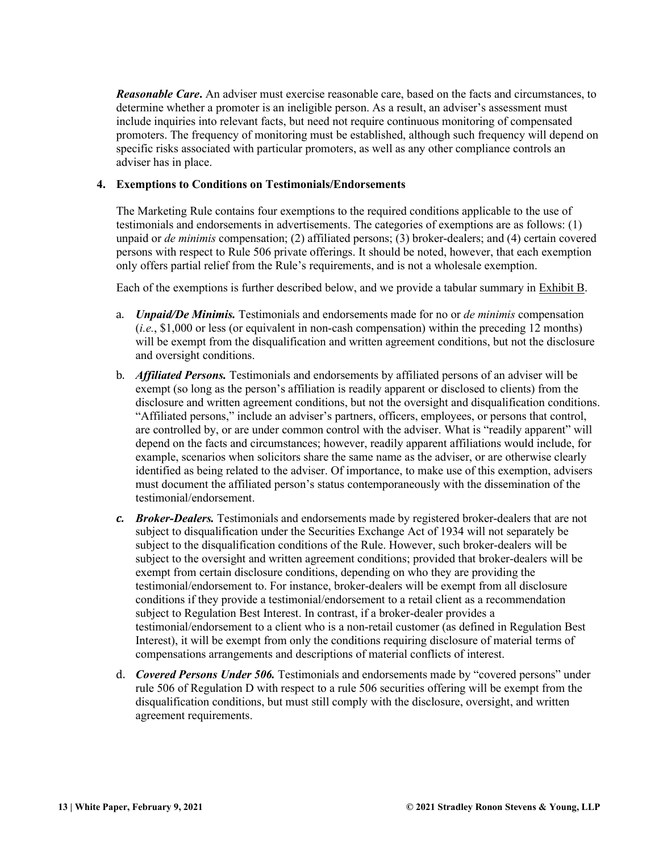*Reasonable Care***.** An adviser must exercise reasonable care, based on the facts and circumstances, to determine whether a promoter is an ineligible person. As a result, an adviser's assessment must include inquiries into relevant facts, but need not require continuous monitoring of compensated promoters. The frequency of monitoring must be established, although such frequency will depend on specific risks associated with particular promoters, as well as any other compliance controls an adviser has in place.

#### **4. Exemptions to Conditions on Testimonials/Endorsements**

The Marketing Rule contains four exemptions to the required conditions applicable to the use of testimonials and endorsements in advertisements. The categories of exemptions are as follows: (1) unpaid or *de minimis* compensation; (2) affiliated persons; (3) broker-dealers; and (4) certain covered persons with respect to Rule 506 private offerings. It should be noted, however, that each exemption only offers partial relief from the Rule's requirements, and is not a wholesale exemption.

Each of the exemptions is further described below, and we provide a tabular summary in Exhibit B.

- a. *Unpaid/De Minimis.* Testimonials and endorsements made for no or *de minimis* compensation (*i.e.*, \$1,000 or less (or equivalent in non-cash compensation) within the preceding 12 months) will be exempt from the disqualification and written agreement conditions, but not the disclosure and oversight conditions.
- b. *Affiliated Persons.* Testimonials and endorsements by affiliated persons of an adviser will be exempt (so long as the person's affiliation is readily apparent or disclosed to clients) from the disclosure and written agreement conditions, but not the oversight and disqualification conditions. "Affiliated persons," include an adviser's partners, officers, employees, or persons that control, are controlled by, or are under common control with the adviser. What is "readily apparent" will depend on the facts and circumstances; however, readily apparent affiliations would include, for example, scenarios when solicitors share the same name as the adviser, or are otherwise clearly identified as being related to the adviser. Of importance, to make use of this exemption, advisers must document the affiliated person's status contemporaneously with the dissemination of the testimonial/endorsement.
- *c. Broker-Dealers.* Testimonials and endorsements made by registered broker-dealers that are not subject to disqualification under the Securities Exchange Act of 1934 will not separately be subject to the disqualification conditions of the Rule. However, such broker-dealers will be subject to the oversight and written agreement conditions; provided that broker-dealers will be exempt from certain disclosure conditions, depending on who they are providing the testimonial/endorsement to. For instance, broker-dealers will be exempt from all disclosure conditions if they provide a testimonial/endorsement to a retail client as a recommendation subject to Regulation Best Interest. In contrast, if a broker-dealer provides a testimonial/endorsement to a client who is a non-retail customer (as defined in Regulation Best Interest), it will be exempt from only the conditions requiring disclosure of material terms of compensations arrangements and descriptions of material conflicts of interest.
- d. *Covered Persons Under 506.* Testimonials and endorsements made by "covered persons" under rule 506 of Regulation D with respect to a rule 506 securities offering will be exempt from the disqualification conditions, but must still comply with the disclosure, oversight, and written agreement requirements.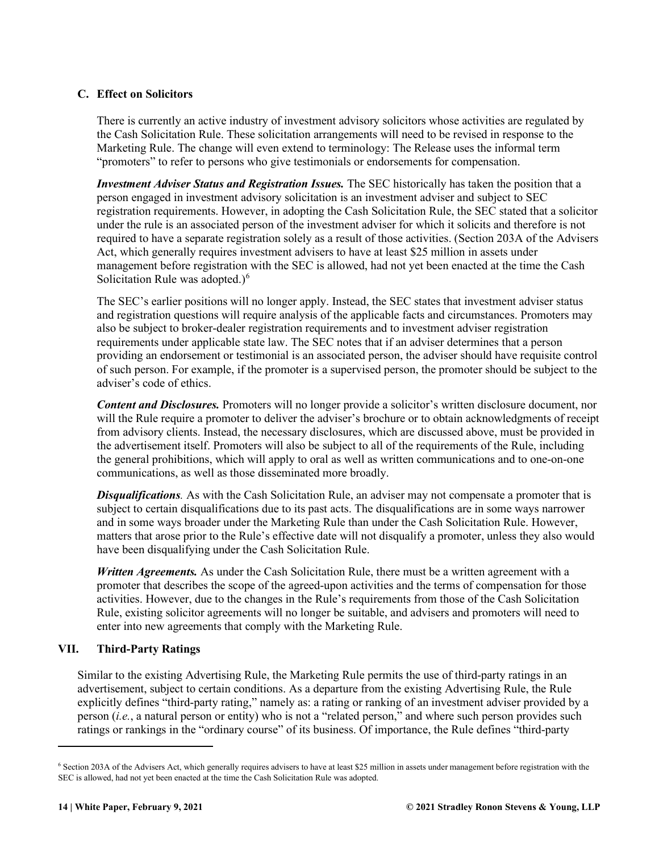#### <span id="page-14-0"></span>**C. Effect on Solicitors**

There is currently an active industry of investment advisory solicitors whose activities are regulated by the Cash Solicitation Rule. These solicitation arrangements will need to be revised in response to the Marketing Rule. The change will even extend to terminology: The Release uses the informal term "promoters" to refer to persons who give testimonials or endorsements for compensation.

*Investment Adviser Status and Registration Issues.* The SEC historically has taken the position that a person engaged in investment advisory solicitation is an investment adviser and subject to SEC registration requirements. However, in adopting the Cash Solicitation Rule, the SEC stated that a solicitor under the rule is an associated person of the investment adviser for which it solicits and therefore is not required to have a separate registration solely as a result of those activities. (Section 203A of the Advisers Act, which generally requires investment advisers to have at least \$25 million in assets under management before registration with the SEC is allowed, had not yet been enacted at the time the Cash Solicitation Rule was adopted.)<sup>[6](#page-14-2)</sup>

The SEC's earlier positions will no longer apply. Instead, the SEC states that investment adviser status and registration questions will require analysis of the applicable facts and circumstances. Promoters may also be subject to broker-dealer registration requirements and to investment adviser registration requirements under applicable state law. The SEC notes that if an adviser determines that a person providing an endorsement or testimonial is an associated person, the adviser should have requisite control of such person. For example, if the promoter is a supervised person, the promoter should be subject to the adviser's code of ethics.

*Content and Disclosures.* Promoters will no longer provide a solicitor's written disclosure document, nor will the Rule require a promoter to deliver the adviser's brochure or to obtain acknowledgments of receipt from advisory clients. Instead, the necessary disclosures, which are discussed above, must be provided in the advertisement itself. Promoters will also be subject to all of the requirements of the Rule, including the general prohibitions, which will apply to oral as well as written communications and to one-on-one communications, as well as those disseminated more broadly.

*Disqualifications.* As with the Cash Solicitation Rule, an adviser may not compensate a promoter that is subject to certain disqualifications due to its past acts. The disqualifications are in some ways narrower and in some ways broader under the Marketing Rule than under the Cash Solicitation Rule. However, matters that arose prior to the Rule's effective date will not disqualify a promoter, unless they also would have been disqualifying under the Cash Solicitation Rule.

*Written Agreements.* As under the Cash Solicitation Rule, there must be a written agreement with a promoter that describes the scope of the agreed-upon activities and the terms of compensation for those activities. However, due to the changes in the Rule's requirements from those of the Cash Solicitation Rule, existing solicitor agreements will no longer be suitable, and advisers and promoters will need to enter into new agreements that comply with the Marketing Rule.

#### <span id="page-14-1"></span>**VII. Third-Party Ratings**

Similar to the existing Advertising Rule, the Marketing Rule permits the use of third-party ratings in an advertisement, subject to certain conditions. As a departure from the existing Advertising Rule, the Rule explicitly defines "third-party rating," namely as: a rating or ranking of an investment adviser provided by a person (*i.e.*, a natural person or entity) who is not a "related person," and where such person provides such ratings or rankings in the "ordinary course" of its business. Of importance, the Rule defines "third-party

<span id="page-14-2"></span><sup>6</sup> Section 203A of the Advisers Act, which generally requires advisers to have at least \$25 million in assets under management before registration with the SEC is allowed, had not yet been enacted at the time the Cash Solicitation Rule was adopted.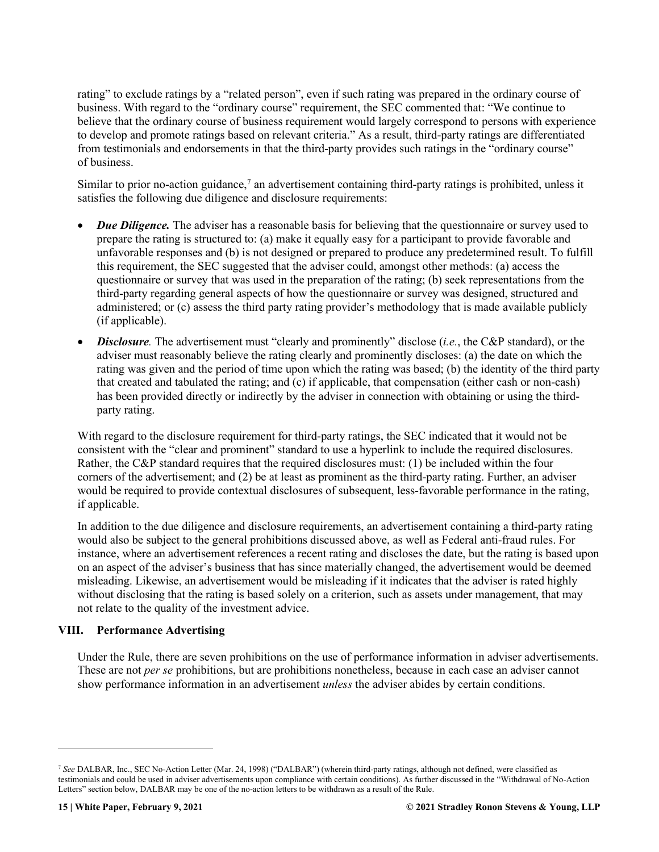rating" to exclude ratings by a "related person", even if such rating was prepared in the ordinary course of business. With regard to the "ordinary course" requirement, the SEC commented that: "We continue to believe that the ordinary course of business requirement would largely correspond to persons with experience to develop and promote ratings based on relevant criteria." As a result, third-party ratings are differentiated from testimonials and endorsements in that the third-party provides such ratings in the "ordinary course" of business.

Similar to prior no-action guidance,<sup>[7](#page-15-1)</sup> an advertisement containing third-party ratings is prohibited, unless it satisfies the following due diligence and disclosure requirements:

- *Due Diligence*. The adviser has a reasonable basis for believing that the questionnaire or survey used to prepare the rating is structured to: (a) make it equally easy for a participant to provide favorable and unfavorable responses and (b) is not designed or prepared to produce any predetermined result. To fulfill this requirement, the SEC suggested that the adviser could, amongst other methods: (a) access the questionnaire or survey that was used in the preparation of the rating; (b) seek representations from the third-party regarding general aspects of how the questionnaire or survey was designed, structured and administered; or (c) assess the third party rating provider's methodology that is made available publicly (if applicable).
- *Disclosure.* The advertisement must "clearly and prominently" disclose (*i.e.*, the C&P standard), or the adviser must reasonably believe the rating clearly and prominently discloses: (a) the date on which the rating was given and the period of time upon which the rating was based; (b) the identity of the third party that created and tabulated the rating; and (c) if applicable, that compensation (either cash or non-cash) has been provided directly or indirectly by the adviser in connection with obtaining or using the thirdparty rating.

With regard to the disclosure requirement for third-party ratings, the SEC indicated that it would not be consistent with the "clear and prominent" standard to use a hyperlink to include the required disclosures. Rather, the C&P standard requires that the required disclosures must: (1) be included within the four corners of the advertisement; and (2) be at least as prominent as the third-party rating. Further, an adviser would be required to provide contextual disclosures of subsequent, less-favorable performance in the rating, if applicable.

In addition to the due diligence and disclosure requirements, an advertisement containing a third-party rating would also be subject to the general prohibitions discussed above, as well as Federal anti-fraud rules. For instance, where an advertisement references a recent rating and discloses the date, but the rating is based upon on an aspect of the adviser's business that has since materially changed, the advertisement would be deemed misleading. Likewise, an advertisement would be misleading if it indicates that the adviser is rated highly without disclosing that the rating is based solely on a criterion, such as assets under management, that may not relate to the quality of the investment advice.

#### <span id="page-15-0"></span>**VIII. Performance Advertising**

Under the Rule, there are seven prohibitions on the use of performance information in adviser advertisements. These are not *per se* prohibitions, but are prohibitions nonetheless, because in each case an adviser cannot show performance information in an advertisement *unless* the adviser abides by certain conditions.

<span id="page-15-1"></span><sup>7</sup> *See* DALBAR, Inc., SEC No-Action Letter (Mar. 24, 1998) ("DALBAR") (wherein third-party ratings, although not defined, were classified as testimonials and could be used in adviser advertisements upon compliance with certain conditions). As further discussed in the "Withdrawal of No-Action Letters" section below, DALBAR may be one of the no-action letters to be withdrawn as a result of the Rule.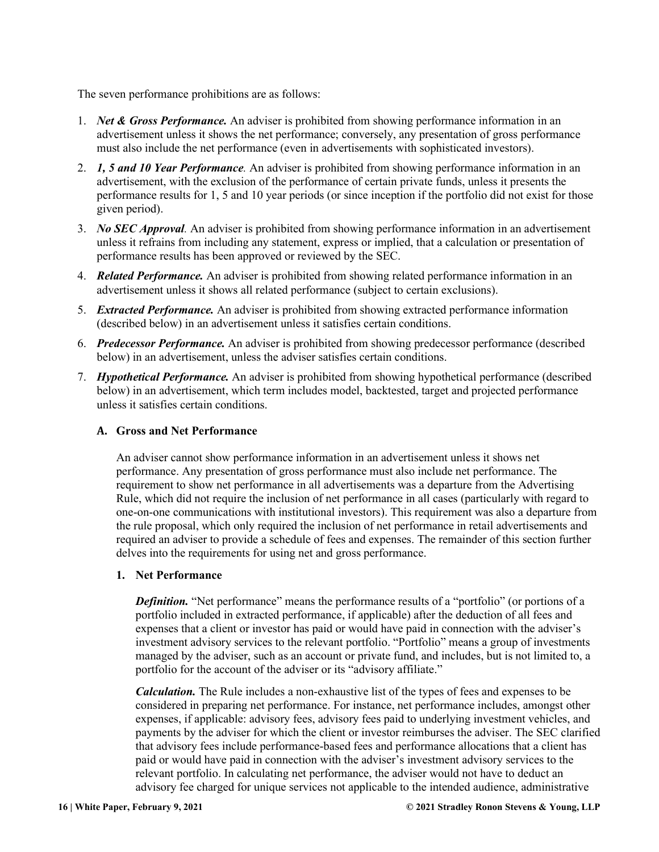The seven performance prohibitions are as follows:

- 1. *Net & Gross Performance.* An adviser is prohibited from showing performance information in an advertisement unless it shows the net performance; conversely, any presentation of gross performance must also include the net performance (even in advertisements with sophisticated investors).
- 2. *1, 5 and 10 Year Performance.* An adviser is prohibited from showing performance information in an advertisement, with the exclusion of the performance of certain private funds, unless it presents the performance results for 1, 5 and 10 year periods (or since inception if the portfolio did not exist for those given period).
- 3. *No SEC Approval.* An adviser is prohibited from showing performance information in an advertisement unless it refrains from including any statement, express or implied, that a calculation or presentation of performance results has been approved or reviewed by the SEC.
- 4. *Related Performance.* An adviser is prohibited from showing related performance information in an advertisement unless it shows all related performance (subject to certain exclusions).
- 5. *Extracted Performance.* An adviser is prohibited from showing extracted performance information (described below) in an advertisement unless it satisfies certain conditions.
- 6. *Predecessor Performance.* An adviser is prohibited from showing predecessor performance (described below) in an advertisement, unless the adviser satisfies certain conditions.
- 7. *Hypothetical Performance.* An adviser is prohibited from showing hypothetical performance (described below) in an advertisement, which term includes model, backtested, target and projected performance unless it satisfies certain conditions.

#### <span id="page-16-0"></span>**A. Gross and Net Performance**

An adviser cannot show performance information in an advertisement unless it shows net performance. Any presentation of gross performance must also include net performance. The requirement to show net performance in all advertisements was a departure from the Advertising Rule, which did not require the inclusion of net performance in all cases (particularly with regard to one-on-one communications with institutional investors). This requirement was also a departure from the rule proposal, which only required the inclusion of net performance in retail advertisements and required an adviser to provide a schedule of fees and expenses. The remainder of this section further delves into the requirements for using net and gross performance.

#### **1. Net Performance**

*Definition.* "Net performance" means the performance results of a "portfolio" (or portions of a portfolio included in extracted performance, if applicable) after the deduction of all fees and expenses that a client or investor has paid or would have paid in connection with the adviser's investment advisory services to the relevant portfolio. "Portfolio" means a group of investments managed by the adviser, such as an account or private fund, and includes, but is not limited to, a portfolio for the account of the adviser or its "advisory affiliate."

*Calculation.* The Rule includes a non-exhaustive list of the types of fees and expenses to be considered in preparing net performance. For instance, net performance includes, amongst other expenses, if applicable: advisory fees, advisory fees paid to underlying investment vehicles, and payments by the adviser for which the client or investor reimburses the adviser. The SEC clarified that advisory fees include performance-based fees and performance allocations that a client has paid or would have paid in connection with the adviser's investment advisory services to the relevant portfolio. In calculating net performance, the adviser would not have to deduct an advisory fee charged for unique services not applicable to the intended audience, administrative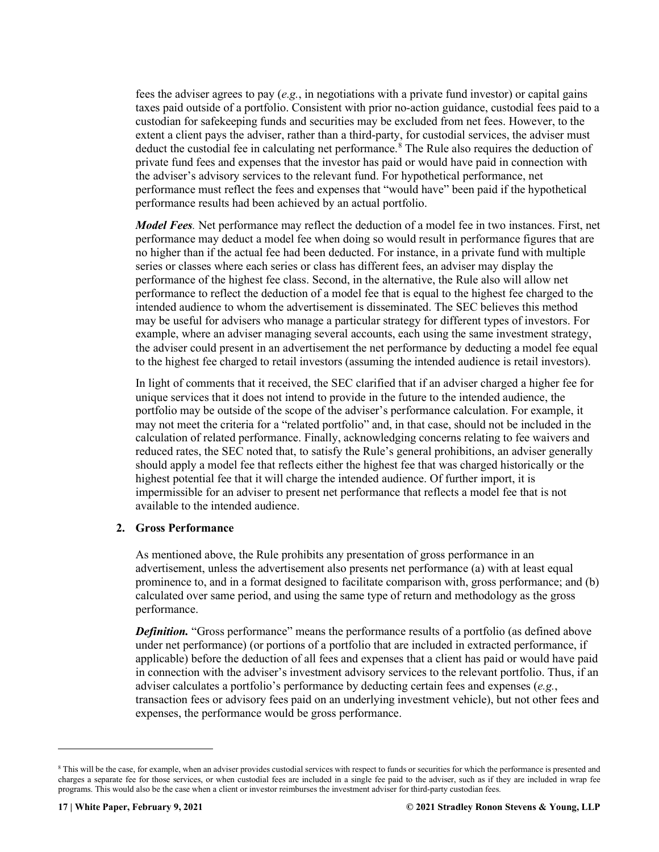fees the adviser agrees to pay (*e.g.*, in negotiations with a private fund investor) or capital gains taxes paid outside of a portfolio. Consistent with prior no-action guidance, custodial fees paid to a custodian for safekeeping funds and securities may be excluded from net fees. However, to the extent a client pays the adviser, rather than a third-party, for custodial services, the adviser must deduct the custodial fee in calculating net performance.<sup>[8](#page-17-0)</sup> The Rule also requires the deduction of private fund fees and expenses that the investor has paid or would have paid in connection with the adviser's advisory services to the relevant fund. For hypothetical performance, net performance must reflect the fees and expenses that "would have" been paid if the hypothetical performance results had been achieved by an actual portfolio.

*Model Fees.* Net performance may reflect the deduction of a model fee in two instances. First, net performance may deduct a model fee when doing so would result in performance figures that are no higher than if the actual fee had been deducted. For instance, in a private fund with multiple series or classes where each series or class has different fees, an adviser may display the performance of the highest fee class. Second, in the alternative, the Rule also will allow net performance to reflect the deduction of a model fee that is equal to the highest fee charged to the intended audience to whom the advertisement is disseminated. The SEC believes this method may be useful for advisers who manage a particular strategy for different types of investors. For example, where an adviser managing several accounts, each using the same investment strategy, the adviser could present in an advertisement the net performance by deducting a model fee equal to the highest fee charged to retail investors (assuming the intended audience is retail investors).

In light of comments that it received, the SEC clarified that if an adviser charged a higher fee for unique services that it does not intend to provide in the future to the intended audience, the portfolio may be outside of the scope of the adviser's performance calculation. For example, it may not meet the criteria for a "related portfolio" and, in that case, should not be included in the calculation of related performance. Finally, acknowledging concerns relating to fee waivers and reduced rates, the SEC noted that, to satisfy the Rule's general prohibitions, an adviser generally should apply a model fee that reflects either the highest fee that was charged historically or the highest potential fee that it will charge the intended audience. Of further import, it is impermissible for an adviser to present net performance that reflects a model fee that is not available to the intended audience.

#### **2. Gross Performance**

As mentioned above, the Rule prohibits any presentation of gross performance in an advertisement, unless the advertisement also presents net performance (a) with at least equal prominence to, and in a format designed to facilitate comparison with, gross performance; and (b) calculated over same period, and using the same type of return and methodology as the gross performance.

*Definition.* "Gross performance" means the performance results of a portfolio (as defined above under net performance) (or portions of a portfolio that are included in extracted performance, if applicable) before the deduction of all fees and expenses that a client has paid or would have paid in connection with the adviser's investment advisory services to the relevant portfolio. Thus, if an adviser calculates a portfolio's performance by deducting certain fees and expenses (*e.g.*, transaction fees or advisory fees paid on an underlying investment vehicle), but not other fees and expenses, the performance would be gross performance.

<span id="page-17-0"></span><sup>&</sup>lt;sup>8</sup> This will be the case, for example, when an adviser provides custodial services with respect to funds or securities for which the performance is presented and charges a separate fee for those services, or when custodial fees are included in a single fee paid to the adviser, such as if they are included in wrap fee programs. This would also be the case when a client or investor reimburses the investment adviser for third-party custodian fees.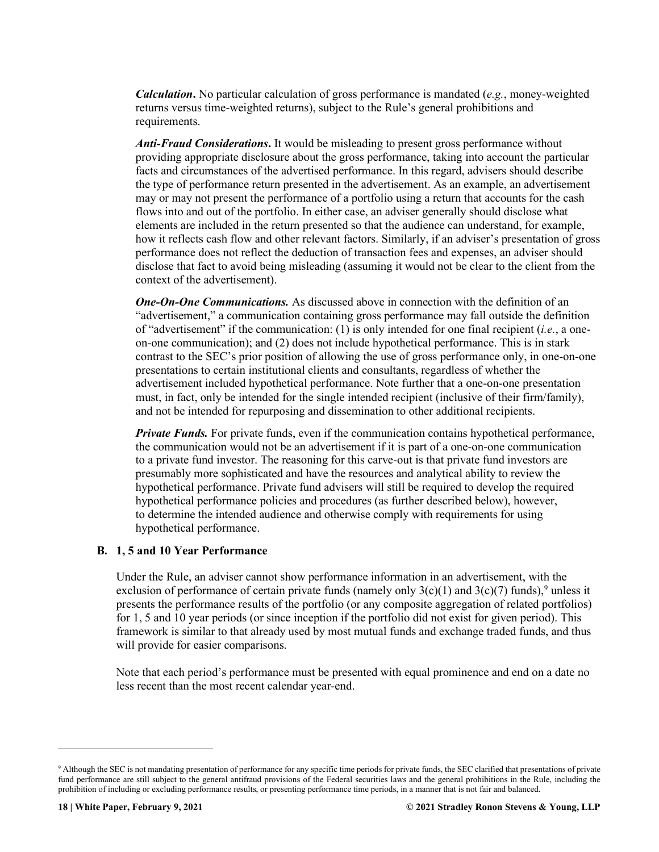*Calculation***.** No particular calculation of gross performance is mandated (*e.g.*, money-weighted returns versus time-weighted returns), subject to the Rule's general prohibitions and requirements.

*Anti-Fraud Considerations***.** It would be misleading to present gross performance without providing appropriate disclosure about the gross performance, taking into account the particular facts and circumstances of the advertised performance. In this regard, advisers should describe the type of performance return presented in the advertisement. As an example, an advertisement may or may not present the performance of a portfolio using a return that accounts for the cash flows into and out of the portfolio. In either case, an adviser generally should disclose what elements are included in the return presented so that the audience can understand, for example, how it reflects cash flow and other relevant factors. Similarly, if an adviser's presentation of gross performance does not reflect the deduction of transaction fees and expenses, an adviser should disclose that fact to avoid being misleading (assuming it would not be clear to the client from the context of the advertisement).

*One-On-One Communications.* As discussed above in connection with the definition of an "advertisement," a communication containing gross performance may fall outside the definition of "advertisement" if the communication: (1) is only intended for one final recipient (*i.e.*, a oneon-one communication); and (2) does not include hypothetical performance. This is in stark contrast to the SEC's prior position of allowing the use of gross performance only, in one-on-one presentations to certain institutional clients and consultants, regardless of whether the advertisement included hypothetical performance. Note further that a one-on-one presentation must, in fact, only be intended for the single intended recipient (inclusive of their firm/family), and not be intended for repurposing and dissemination to other additional recipients.

*Private Funds.* For private funds, even if the communication contains hypothetical performance, the communication would not be an advertisement if it is part of a one-on-one communication to a private fund investor. The reasoning for this carve-out is that private fund investors are presumably more sophisticated and have the resources and analytical ability to review the hypothetical performance. Private fund advisers will still be required to develop the required hypothetical performance policies and procedures (as further described below), however, to determine the intended audience and otherwise comply with requirements for using hypothetical performance.

#### <span id="page-18-0"></span>**B. 1, 5 and 10 Year Performance**

Under the Rule, an adviser cannot show performance information in an advertisement, with the exclusion of performance of certain private funds (namely only  $3(c)(1)$  and  $3(c)(7)$  funds),<sup>[9](#page-18-1)</sup> unless it presents the performance results of the portfolio (or any composite aggregation of related portfolios) for 1, 5 and 10 year periods (or since inception if the portfolio did not exist for given period). This framework is similar to that already used by most mutual funds and exchange traded funds, and thus will provide for easier comparisons.

Note that each period's performance must be presented with equal prominence and end on a date no less recent than the most recent calendar year-end.

<span id="page-18-1"></span><sup>&</sup>lt;sup>9</sup> Although the SEC is not mandating presentation of performance for any specific time periods for private funds, the SEC clarified that presentations of private fund performance are still subject to the general antifraud provisions of the Federal securities laws and the general prohibitions in the Rule, including the prohibition of including or excluding performance results, or presenting performance time periods, in a manner that is not fair and balanced.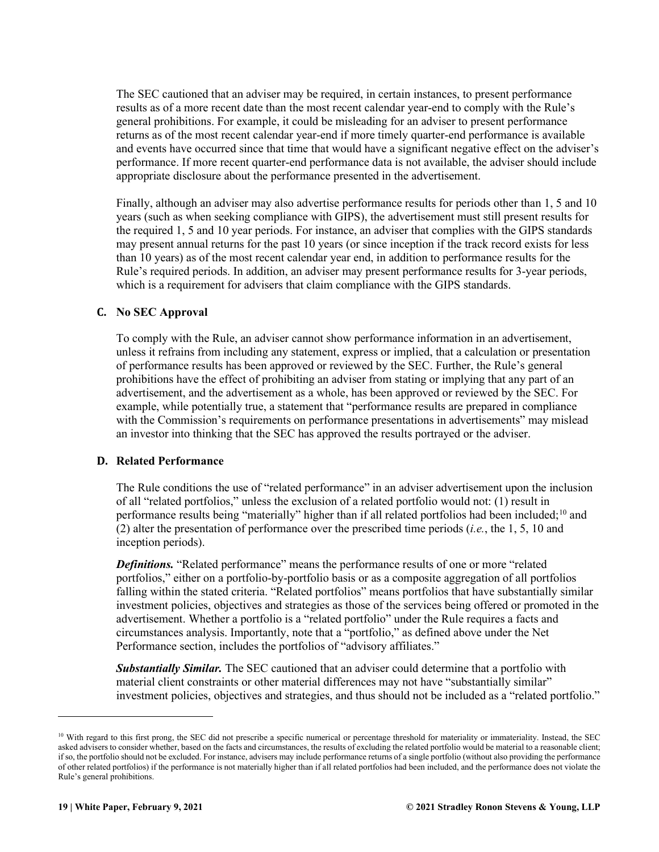The SEC cautioned that an adviser may be required, in certain instances, to present performance results as of a more recent date than the most recent calendar year-end to comply with the Rule's general prohibitions. For example, it could be misleading for an adviser to present performance returns as of the most recent calendar year-end if more timely quarter-end performance is available and events have occurred since that time that would have a significant negative effect on the adviser's performance. If more recent quarter-end performance data is not available, the adviser should include appropriate disclosure about the performance presented in the advertisement.

Finally, although an adviser may also advertise performance results for periods other than 1, 5 and 10 years (such as when seeking compliance with GIPS), the advertisement must still present results for the required 1, 5 and 10 year periods. For instance, an adviser that complies with the GIPS standards may present annual returns for the past 10 years (or since inception if the track record exists for less than 10 years) as of the most recent calendar year end, in addition to performance results for the Rule's required periods. In addition, an adviser may present performance results for 3-year periods, which is a requirement for advisers that claim compliance with the GIPS standards.

#### <span id="page-19-0"></span>**C. No SEC Approval**

To comply with the Rule, an adviser cannot show performance information in an advertisement, unless it refrains from including any statement, express or implied, that a calculation or presentation of performance results has been approved or reviewed by the SEC. Further, the Rule's general prohibitions have the effect of prohibiting an adviser from stating or implying that any part of an advertisement, and the advertisement as a whole, has been approved or reviewed by the SEC. For example, while potentially true, a statement that "performance results are prepared in compliance with the Commission's requirements on performance presentations in advertisements" may mislead an investor into thinking that the SEC has approved the results portrayed or the adviser.

#### <span id="page-19-1"></span>**D. Related Performance**

The Rule conditions the use of "related performance" in an adviser advertisement upon the inclusion of all "related portfolios," unless the exclusion of a related portfolio would not: (1) result in performance results being "materially" higher than if all related portfolios had been included;<sup>[10](#page-19-2)</sup> and (2) alter the presentation of performance over the prescribed time periods (*i.e.*, the 1, 5, 10 and inception periods).

*Definitions.* "Related performance" means the performance results of one or more "related portfolios," either on a portfolio-by-portfolio basis or as a composite aggregation of all portfolios falling within the stated criteria. "Related portfolios" means portfolios that have substantially similar investment policies, objectives and strategies as those of the services being offered or promoted in the advertisement. Whether a portfolio is a "related portfolio" under the Rule requires a facts and circumstances analysis. Importantly, note that a "portfolio," as defined above under the Net Performance section, includes the portfolios of "advisory affiliates."

*Substantially Similar.* The SEC cautioned that an adviser could determine that a portfolio with material client constraints or other material differences may not have "substantially similar" investment policies, objectives and strategies, and thus should not be included as a "related portfolio."

<span id="page-19-2"></span><sup>&</sup>lt;sup>10</sup> With regard to this first prong, the SEC did not prescribe a specific numerical or percentage threshold for materiality or immateriality. Instead, the SEC asked advisers to consider whether, based on the facts and circumstances, the results of excluding the related portfolio would be material to a reasonable client; if so, the portfolio should not be excluded. For instance, advisers may include performance returns of a single portfolio (without also providing the performance of other related portfolios) if the performance is not materially higher than if all related portfolios had been included, and the performance does not violate the Rule's general prohibitions.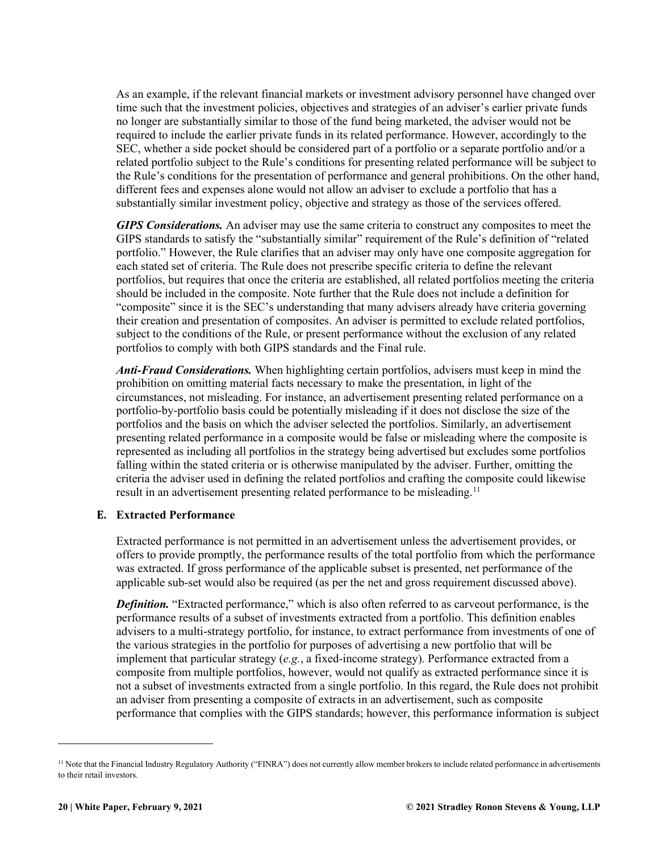As an example, if the relevant financial markets or investment advisory personnel have changed over time such that the investment policies, objectives and strategies of an adviser's earlier private funds no longer are substantially similar to those of the fund being marketed, the adviser would not be required to include the earlier private funds in its related performance. However, accordingly to the SEC, whether a side pocket should be considered part of a portfolio or a separate portfolio and/or a related portfolio subject to the Rule's conditions for presenting related performance will be subject to the Rule's conditions for the presentation of performance and general prohibitions. On the other hand, different fees and expenses alone would not allow an adviser to exclude a portfolio that has a substantially similar investment policy, objective and strategy as those of the services offered.

*GIPS Considerations.* An adviser may use the same criteria to construct any composites to meet the GIPS standards to satisfy the "substantially similar" requirement of the Rule's definition of "related portfolio." However, the Rule clarifies that an adviser may only have one composite aggregation for each stated set of criteria. The Rule does not prescribe specific criteria to define the relevant portfolios, but requires that once the criteria are established, all related portfolios meeting the criteria should be included in the composite. Note further that the Rule does not include a definition for "composite" since it is the SEC's understanding that many advisers already have criteria governing their creation and presentation of composites. An adviser is permitted to exclude related portfolios, subject to the conditions of the Rule, or present performance without the exclusion of any related portfolios to comply with both GIPS standards and the Final rule.

*Anti-Fraud Considerations.* When highlighting certain portfolios, advisers must keep in mind the prohibition on omitting material facts necessary to make the presentation, in light of the circumstances, not misleading. For instance, an advertisement presenting related performance on a portfolio-by-portfolio basis could be potentially misleading if it does not disclose the size of the portfolios and the basis on which the adviser selected the portfolios. Similarly, an advertisement presenting related performance in a composite would be false or misleading where the composite is represented as including all portfolios in the strategy being advertised but excludes some portfolios falling within the stated criteria or is otherwise manipulated by the adviser. Further, omitting the criteria the adviser used in defining the related portfolios and crafting the composite could likewise result in an advertisement presenting related performance to be misleading.<sup>[11](#page-20-1)</sup>

#### <span id="page-20-0"></span>**E. Extracted Performance**

Extracted performance is not permitted in an advertisement unless the advertisement provides, or offers to provide promptly, the performance results of the total portfolio from which the performance was extracted. If gross performance of the applicable subset is presented, net performance of the applicable sub-set would also be required (as per the net and gross requirement discussed above).

*Definition.* "Extracted performance," which is also often referred to as carveout performance, is the performance results of a subset of investments extracted from a portfolio. This definition enables advisers to a multi-strategy portfolio, for instance, to extract performance from investments of one of the various strategies in the portfolio for purposes of advertising a new portfolio that will be implement that particular strategy (*e.g.*, a fixed-income strategy). Performance extracted from a composite from multiple portfolios, however, would not qualify as extracted performance since it is not a subset of investments extracted from a single portfolio. In this regard, the Rule does not prohibit an adviser from presenting a composite of extracts in an advertisement, such as composite performance that complies with the GIPS standards; however, this performance information is subject

<span id="page-20-1"></span><sup>&</sup>lt;sup>11</sup> Note that the Financial Industry Regulatory Authority ("FINRA") does not currently allow member brokers to include related performance in advertisements to their retail investors.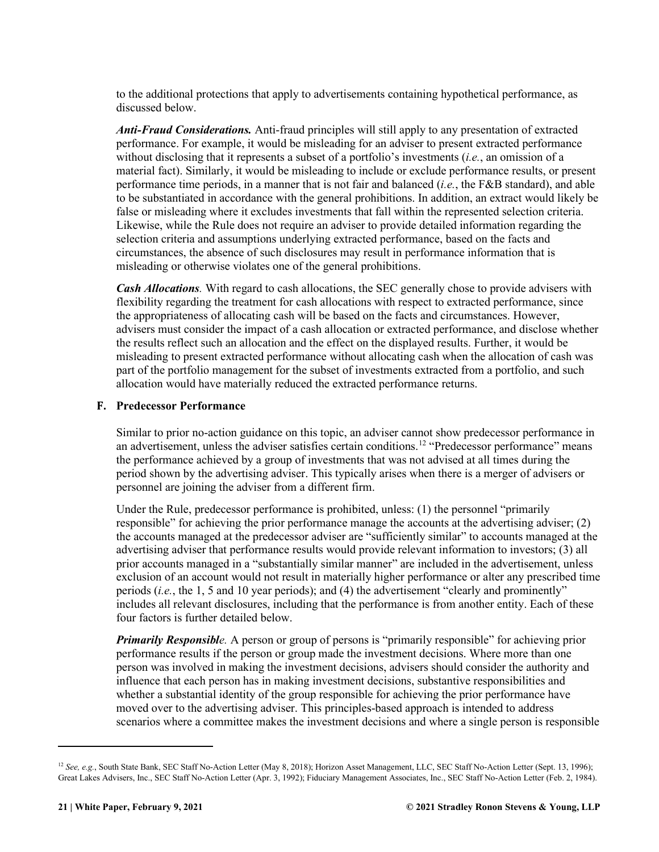to the additional protections that apply to advertisements containing hypothetical performance, as discussed below.

*Anti-Fraud Considerations.* Anti-fraud principles will still apply to any presentation of extracted performance. For example, it would be misleading for an adviser to present extracted performance without disclosing that it represents a subset of a portfolio's investments (*i.e.*, an omission of a material fact). Similarly, it would be misleading to include or exclude performance results, or present performance time periods, in a manner that is not fair and balanced (*i.e.*, the F&B standard), and able to be substantiated in accordance with the general prohibitions. In addition, an extract would likely be false or misleading where it excludes investments that fall within the represented selection criteria. Likewise, while the Rule does not require an adviser to provide detailed information regarding the selection criteria and assumptions underlying extracted performance, based on the facts and circumstances, the absence of such disclosures may result in performance information that is misleading or otherwise violates one of the general prohibitions.

*Cash Allocations.* With regard to cash allocations, the SEC generally chose to provide advisers with flexibility regarding the treatment for cash allocations with respect to extracted performance, since the appropriateness of allocating cash will be based on the facts and circumstances. However, advisers must consider the impact of a cash allocation or extracted performance, and disclose whether the results reflect such an allocation and the effect on the displayed results. Further, it would be misleading to present extracted performance without allocating cash when the allocation of cash was part of the portfolio management for the subset of investments extracted from a portfolio, and such allocation would have materially reduced the extracted performance returns.

#### <span id="page-21-0"></span>**F. Predecessor Performance**

Similar to prior no-action guidance on this topic, an adviser cannot show predecessor performance in an advertisement, unless the adviser satisfies certain conditions.<sup>[12](#page-21-1)</sup> "Predecessor performance" means the performance achieved by a group of investments that was not advised at all times during the period shown by the advertising adviser. This typically arises when there is a merger of advisers or personnel are joining the adviser from a different firm.

Under the Rule, predecessor performance is prohibited, unless: (1) the personnel "primarily responsible" for achieving the prior performance manage the accounts at the advertising adviser; (2) the accounts managed at the predecessor adviser are "sufficiently similar" to accounts managed at the advertising adviser that performance results would provide relevant information to investors; (3) all prior accounts managed in a "substantially similar manner" are included in the advertisement, unless exclusion of an account would not result in materially higher performance or alter any prescribed time periods (*i.e.*, the 1, 5 and 10 year periods); and (4) the advertisement "clearly and prominently" includes all relevant disclosures, including that the performance is from another entity. Each of these four factors is further detailed below.

*Primarily Responsible.* A person or group of persons is "primarily responsible" for achieving prior performance results if the person or group made the investment decisions. Where more than one person was involved in making the investment decisions, advisers should consider the authority and influence that each person has in making investment decisions, substantive responsibilities and whether a substantial identity of the group responsible for achieving the prior performance have moved over to the advertising adviser. This principles-based approach is intended to address scenarios where a committee makes the investment decisions and where a single person is responsible

<span id="page-21-1"></span><sup>&</sup>lt;sup>12</sup> See, e.g., South State Bank, SEC Staff No-Action Letter (May 8, 2018); Horizon Asset Management, LLC, SEC Staff No-Action Letter (Sept. 13, 1996); Great Lakes Advisers, Inc., SEC Staff No-Action Letter (Apr. 3, 1992); Fiduciary Management Associates, Inc., SEC Staff No-Action Letter (Feb. 2, 1984).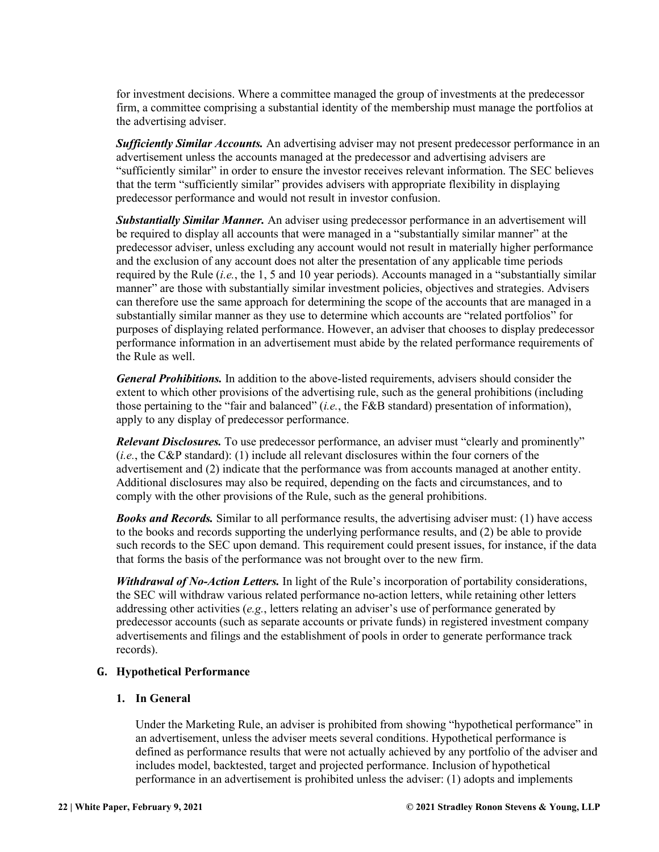for investment decisions. Where a committee managed the group of investments at the predecessor firm, a committee comprising a substantial identity of the membership must manage the portfolios at the advertising adviser.

*Sufficiently Similar Accounts.* An advertising adviser may not present predecessor performance in an advertisement unless the accounts managed at the predecessor and advertising advisers are "sufficiently similar" in order to ensure the investor receives relevant information. The SEC believes that the term "sufficiently similar" provides advisers with appropriate flexibility in displaying predecessor performance and would not result in investor confusion.

*Substantially Similar Manner.* An adviser using predecessor performance in an advertisement will be required to display all accounts that were managed in a "substantially similar manner" at the predecessor adviser, unless excluding any account would not result in materially higher performance and the exclusion of any account does not alter the presentation of any applicable time periods required by the Rule (*i.e.*, the 1, 5 and 10 year periods). Accounts managed in a "substantially similar manner" are those with substantially similar investment policies, objectives and strategies. Advisers can therefore use the same approach for determining the scope of the accounts that are managed in a substantially similar manner as they use to determine which accounts are "related portfolios" for purposes of displaying related performance. However, an adviser that chooses to display predecessor performance information in an advertisement must abide by the related performance requirements of the Rule as well.

*General Prohibitions.* In addition to the above-listed requirements, advisers should consider the extent to which other provisions of the advertising rule, such as the general prohibitions (including those pertaining to the "fair and balanced" (*i.e.*, the F&B standard) presentation of information), apply to any display of predecessor performance.

*Relevant Disclosures.* To use predecessor performance, an adviser must "clearly and prominently" (*i.e.*, the C&P standard): (1) include all relevant disclosures within the four corners of the advertisement and (2) indicate that the performance was from accounts managed at another entity. Additional disclosures may also be required, depending on the facts and circumstances, and to comply with the other provisions of the Rule, such as the general prohibitions.

*Books and Records.* Similar to all performance results, the advertising adviser must: (1) have access to the books and records supporting the underlying performance results, and (2) be able to provide such records to the SEC upon demand. This requirement could present issues, for instance, if the data that forms the basis of the performance was not brought over to the new firm.

*Withdrawal of No-Action Letters.* In light of the Rule's incorporation of portability considerations, the SEC will withdraw various related performance no-action letters, while retaining other letters addressing other activities (*e.g.*, letters relating an adviser's use of performance generated by predecessor accounts (such as separate accounts or private funds) in registered investment company advertisements and filings and the establishment of pools in order to generate performance track records).

#### <span id="page-22-0"></span>**G. Hypothetical Performance**

#### **1. In General**

Under the Marketing Rule, an adviser is prohibited from showing "hypothetical performance" in an advertisement, unless the adviser meets several conditions. Hypothetical performance is defined as performance results that were not actually achieved by any portfolio of the adviser and includes model, backtested, target and projected performance. Inclusion of hypothetical performance in an advertisement is prohibited unless the adviser: (1) adopts and implements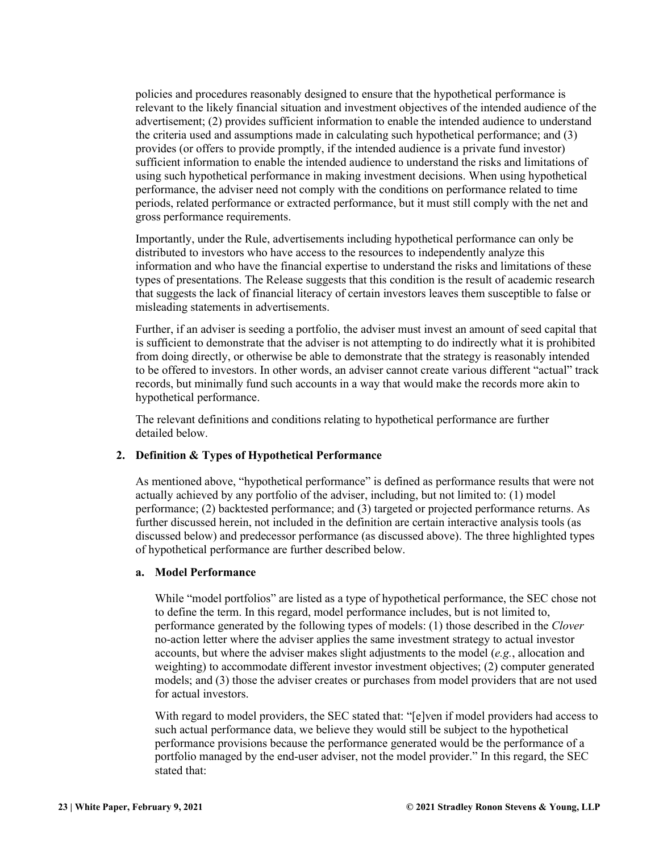policies and procedures reasonably designed to ensure that the hypothetical performance is relevant to the likely financial situation and investment objectives of the intended audience of the advertisement; (2) provides sufficient information to enable the intended audience to understand the criteria used and assumptions made in calculating such hypothetical performance; and (3) provides (or offers to provide promptly, if the intended audience is a private fund investor) sufficient information to enable the intended audience to understand the risks and limitations of using such hypothetical performance in making investment decisions. When using hypothetical performance, the adviser need not comply with the conditions on performance related to time periods, related performance or extracted performance, but it must still comply with the net and gross performance requirements.

Importantly, under the Rule, advertisements including hypothetical performance can only be distributed to investors who have access to the resources to independently analyze this information and who have the financial expertise to understand the risks and limitations of these types of presentations. The Release suggests that this condition is the result of academic research that suggests the lack of financial literacy of certain investors leaves them susceptible to false or misleading statements in advertisements.

Further, if an adviser is seeding a portfolio, the adviser must invest an amount of seed capital that is sufficient to demonstrate that the adviser is not attempting to do indirectly what it is prohibited from doing directly, or otherwise be able to demonstrate that the strategy is reasonably intended to be offered to investors. In other words, an adviser cannot create various different "actual" track records, but minimally fund such accounts in a way that would make the records more akin to hypothetical performance.

The relevant definitions and conditions relating to hypothetical performance are further detailed below.

#### **2. Definition & Types of Hypothetical Performance**

As mentioned above, "hypothetical performance" is defined as performance results that were not actually achieved by any portfolio of the adviser, including, but not limited to: (1) model performance; (2) backtested performance; and (3) targeted or projected performance returns. As further discussed herein, not included in the definition are certain interactive analysis tools (as discussed below) and predecessor performance (as discussed above). The three highlighted types of hypothetical performance are further described below.

#### **a. Model Performance**

While "model portfolios" are listed as a type of hypothetical performance, the SEC chose not to define the term. In this regard, model performance includes, but is not limited to, performance generated by the following types of models: (1) those described in the *Clover* no-action letter where the adviser applies the same investment strategy to actual investor accounts, but where the adviser makes slight adjustments to the model (*e.g.*, allocation and weighting) to accommodate different investor investment objectives; (2) computer generated models; and (3) those the adviser creates or purchases from model providers that are not used for actual investors.

With regard to model providers, the SEC stated that: "[e]ven if model providers had access to such actual performance data, we believe they would still be subject to the hypothetical performance provisions because the performance generated would be the performance of a portfolio managed by the end-user adviser, not the model provider." In this regard, the SEC stated that: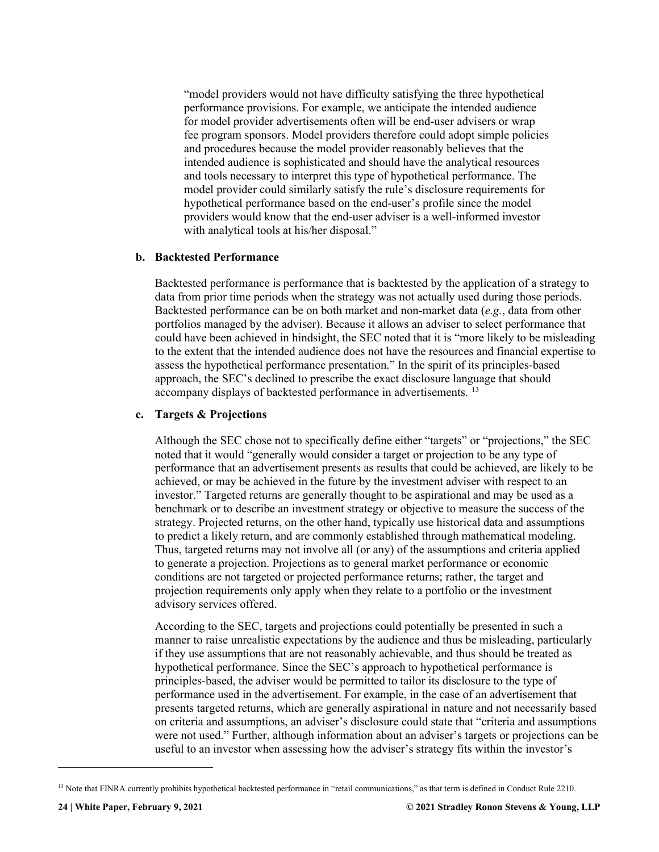"model providers would not have difficulty satisfying the three hypothetical performance provisions. For example, we anticipate the intended audience for model provider advertisements often will be end-user advisers or wrap fee program sponsors. Model providers therefore could adopt simple policies and procedures because the model provider reasonably believes that the intended audience is sophisticated and should have the analytical resources and tools necessary to interpret this type of hypothetical performance. The model provider could similarly satisfy the rule's disclosure requirements for hypothetical performance based on the end-user's profile since the model providers would know that the end-user adviser is a well-informed investor with analytical tools at his/her disposal."

#### **b. Backtested Performance**

Backtested performance is performance that is backtested by the application of a strategy to data from prior time periods when the strategy was not actually used during those periods. Backtested performance can be on both market and non-market data (*e.g.*, data from other portfolios managed by the adviser). Because it allows an adviser to select performance that could have been achieved in hindsight, the SEC noted that it is "more likely to be misleading to the extent that the intended audience does not have the resources and financial expertise to assess the hypothetical performance presentation." In the spirit of its principles-based approach, the SEC's declined to prescribe the exact disclosure language that should accompany displays of backtested performance in advertisements. [13](#page-24-0)

#### **c. Targets & Projections**

Although the SEC chose not to specifically define either "targets" or "projections," the SEC noted that it would "generally would consider a target or projection to be any type of performance that an advertisement presents as results that could be achieved, are likely to be achieved, or may be achieved in the future by the investment adviser with respect to an investor." Targeted returns are generally thought to be aspirational and may be used as a benchmark or to describe an investment strategy or objective to measure the success of the strategy. Projected returns, on the other hand, typically use historical data and assumptions to predict a likely return, and are commonly established through mathematical modeling. Thus, targeted returns may not involve all (or any) of the assumptions and criteria applied to generate a projection. Projections as to general market performance or economic conditions are not targeted or projected performance returns; rather, the target and projection requirements only apply when they relate to a portfolio or the investment advisory services offered.

According to the SEC, targets and projections could potentially be presented in such a manner to raise unrealistic expectations by the audience and thus be misleading, particularly if they use assumptions that are not reasonably achievable, and thus should be treated as hypothetical performance. Since the SEC's approach to hypothetical performance is principles-based, the adviser would be permitted to tailor its disclosure to the type of performance used in the advertisement. For example, in the case of an advertisement that presents targeted returns, which are generally aspirational in nature and not necessarily based on criteria and assumptions, an adviser's disclosure could state that "criteria and assumptions were not used." Further, although information about an adviser's targets or projections can be useful to an investor when assessing how the adviser's strategy fits within the investor's

<span id="page-24-0"></span><sup>&</sup>lt;sup>13</sup> Note that FINRA currently prohibits hypothetical backtested performance in "retail communications," as that term is defined in Conduct Rule 2210.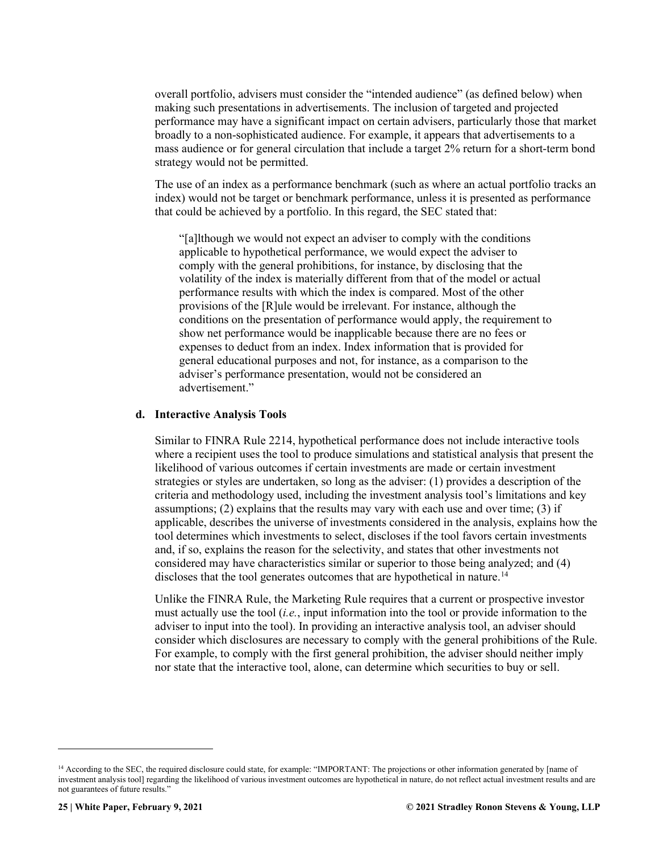overall portfolio, advisers must consider the "intended audience" (as defined below) when making such presentations in advertisements. The inclusion of targeted and projected performance may have a significant impact on certain advisers, particularly those that market broadly to a non-sophisticated audience. For example, it appears that advertisements to a mass audience or for general circulation that include a target 2% return for a short-term bond strategy would not be permitted.

The use of an index as a performance benchmark (such as where an actual portfolio tracks an index) would not be target or benchmark performance, unless it is presented as performance that could be achieved by a portfolio. In this regard, the SEC stated that:

"[a]lthough we would not expect an adviser to comply with the conditions applicable to hypothetical performance, we would expect the adviser to comply with the general prohibitions, for instance, by disclosing that the volatility of the index is materially different from that of the model or actual performance results with which the index is compared. Most of the other provisions of the [R]ule would be irrelevant. For instance, although the conditions on the presentation of performance would apply, the requirement to show net performance would be inapplicable because there are no fees or expenses to deduct from an index. Index information that is provided for general educational purposes and not, for instance, as a comparison to the adviser's performance presentation, would not be considered an advertisement."

#### **d. Interactive Analysis Tools**

Similar to FINRA Rule 2214, hypothetical performance does not include interactive tools where a recipient uses the tool to produce simulations and statistical analysis that present the likelihood of various outcomes if certain investments are made or certain investment strategies or styles are undertaken, so long as the adviser: (1) provides a description of the criteria and methodology used, including the investment analysis tool's limitations and key assumptions; (2) explains that the results may vary with each use and over time; (3) if applicable, describes the universe of investments considered in the analysis, explains how the tool determines which investments to select, discloses if the tool favors certain investments and, if so, explains the reason for the selectivity, and states that other investments not considered may have characteristics similar or superior to those being analyzed; and (4) discloses that the tool generates outcomes that are hypothetical in nature.<sup>14</sup>

Unlike the FINRA Rule, the Marketing Rule requires that a current or prospective investor must actually use the tool (*i.e.*, input information into the tool or provide information to the adviser to input into the tool). In providing an interactive analysis tool, an adviser should consider which disclosures are necessary to comply with the general prohibitions of the Rule. For example, to comply with the first general prohibition, the adviser should neither imply nor state that the interactive tool, alone, can determine which securities to buy or sell.

<span id="page-25-0"></span><sup>&</sup>lt;sup>14</sup> According to the SEC, the required disclosure could state, for example: "IMPORTANT: The projections or other information generated by [name of investment analysis tool] regarding the likelihood of various investment outcomes are hypothetical in nature, do not reflect actual investment results and are not guarantees of future results."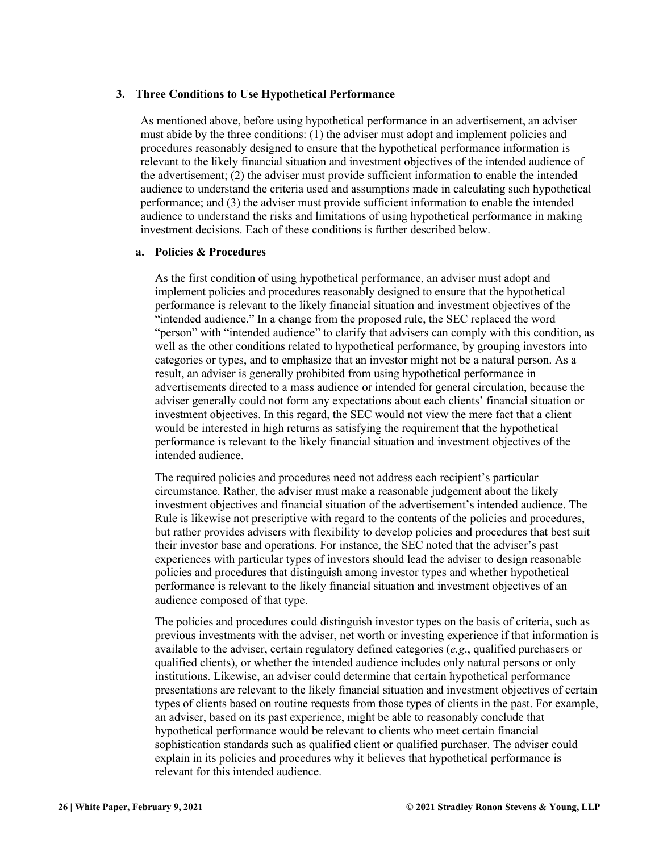#### **3. Three Conditions to Use Hypothetical Performance**

As mentioned above, before using hypothetical performance in an advertisement, an adviser must abide by the three conditions: (1) the adviser must adopt and implement policies and procedures reasonably designed to ensure that the hypothetical performance information is relevant to the likely financial situation and investment objectives of the intended audience of the advertisement; (2) the adviser must provide sufficient information to enable the intended audience to understand the criteria used and assumptions made in calculating such hypothetical performance; and (3) the adviser must provide sufficient information to enable the intended audience to understand the risks and limitations of using hypothetical performance in making investment decisions. Each of these conditions is further described below.

#### **a. Policies & Procedures**

As the first condition of using hypothetical performance, an adviser must adopt and implement policies and procedures reasonably designed to ensure that the hypothetical performance is relevant to the likely financial situation and investment objectives of the "intended audience." In a change from the proposed rule, the SEC replaced the word "person" with "intended audience" to clarify that advisers can comply with this condition, as well as the other conditions related to hypothetical performance, by grouping investors into categories or types, and to emphasize that an investor might not be a natural person. As a result, an adviser is generally prohibited from using hypothetical performance in advertisements directed to a mass audience or intended for general circulation, because the adviser generally could not form any expectations about each clients' financial situation or investment objectives. In this regard, the SEC would not view the mere fact that a client would be interested in high returns as satisfying the requirement that the hypothetical performance is relevant to the likely financial situation and investment objectives of the intended audience.

The required policies and procedures need not address each recipient's particular circumstance. Rather, the adviser must make a reasonable judgement about the likely investment objectives and financial situation of the advertisement's intended audience. The Rule is likewise not prescriptive with regard to the contents of the policies and procedures, but rather provides advisers with flexibility to develop policies and procedures that best suit their investor base and operations. For instance, the SEC noted that the adviser's past experiences with particular types of investors should lead the adviser to design reasonable policies and procedures that distinguish among investor types and whether hypothetical performance is relevant to the likely financial situation and investment objectives of an audience composed of that type.

The policies and procedures could distinguish investor types on the basis of criteria, such as previous investments with the adviser, net worth or investing experience if that information is available to the adviser, certain regulatory defined categories (*e.g*., qualified purchasers or qualified clients), or whether the intended audience includes only natural persons or only institutions. Likewise, an adviser could determine that certain hypothetical performance presentations are relevant to the likely financial situation and investment objectives of certain types of clients based on routine requests from those types of clients in the past. For example, an adviser, based on its past experience, might be able to reasonably conclude that hypothetical performance would be relevant to clients who meet certain financial sophistication standards such as qualified client or qualified purchaser. The adviser could explain in its policies and procedures why it believes that hypothetical performance is relevant for this intended audience.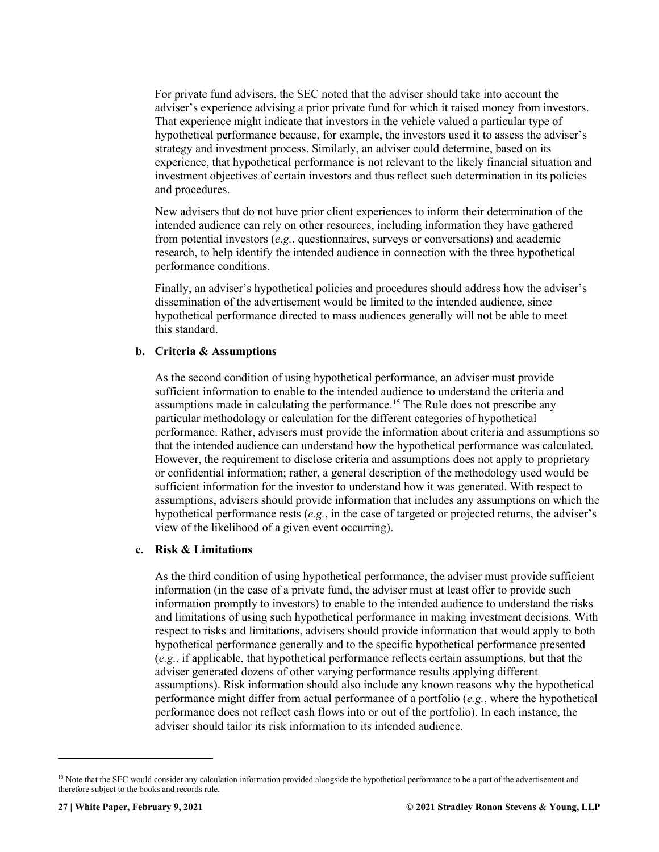For private fund advisers, the SEC noted that the adviser should take into account the adviser's experience advising a prior private fund for which it raised money from investors. That experience might indicate that investors in the vehicle valued a particular type of hypothetical performance because, for example, the investors used it to assess the adviser's strategy and investment process. Similarly, an adviser could determine, based on its experience, that hypothetical performance is not relevant to the likely financial situation and investment objectives of certain investors and thus reflect such determination in its policies and procedures.

New advisers that do not have prior client experiences to inform their determination of the intended audience can rely on other resources, including information they have gathered from potential investors (*e.g.*, questionnaires, surveys or conversations) and academic research, to help identify the intended audience in connection with the three hypothetical performance conditions.

Finally, an adviser's hypothetical policies and procedures should address how the adviser's dissemination of the advertisement would be limited to the intended audience, since hypothetical performance directed to mass audiences generally will not be able to meet this standard.

#### **b. Criteria & Assumptions**

As the second condition of using hypothetical performance, an adviser must provide sufficient information to enable to the intended audience to understand the criteria and assumptions made in calculating the performance.<sup>[15](#page-27-0)</sup> The Rule does not prescribe any particular methodology or calculation for the different categories of hypothetical performance. Rather, advisers must provide the information about criteria and assumptions so that the intended audience can understand how the hypothetical performance was calculated. However, the requirement to disclose criteria and assumptions does not apply to proprietary or confidential information; rather, a general description of the methodology used would be sufficient information for the investor to understand how it was generated. With respect to assumptions, advisers should provide information that includes any assumptions on which the hypothetical performance rests (*e.g.*, in the case of targeted or projected returns, the adviser's view of the likelihood of a given event occurring).

#### **c. Risk & Limitations**

As the third condition of using hypothetical performance, the adviser must provide sufficient information (in the case of a private fund, the adviser must at least offer to provide such information promptly to investors) to enable to the intended audience to understand the risks and limitations of using such hypothetical performance in making investment decisions. With respect to risks and limitations, advisers should provide information that would apply to both hypothetical performance generally and to the specific hypothetical performance presented (*e.g.*, if applicable, that hypothetical performance reflects certain assumptions, but that the adviser generated dozens of other varying performance results applying different assumptions). Risk information should also include any known reasons why the hypothetical performance might differ from actual performance of a portfolio (*e.g.*, where the hypothetical performance does not reflect cash flows into or out of the portfolio). In each instance, the adviser should tailor its risk information to its intended audience.

<span id="page-27-0"></span><sup>&</sup>lt;sup>15</sup> Note that the SEC would consider any calculation information provided alongside the hypothetical performance to be a part of the advertisement and therefore subject to the books and records rule.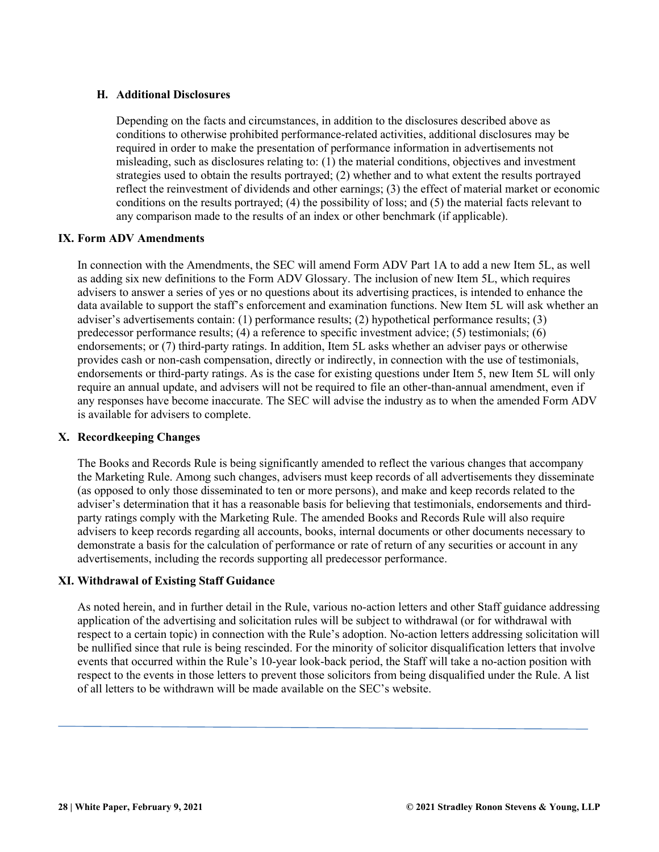#### <span id="page-28-0"></span>**H. Additional Disclosures**

Depending on the facts and circumstances, in addition to the disclosures described above as conditions to otherwise prohibited performance-related activities, additional disclosures may be required in order to make the presentation of performance information in advertisements not misleading, such as disclosures relating to: (1) the material conditions, objectives and investment strategies used to obtain the results portrayed; (2) whether and to what extent the results portrayed reflect the reinvestment of dividends and other earnings; (3) the effect of material market or economic conditions on the results portrayed; (4) the possibility of loss; and (5) the material facts relevant to any comparison made to the results of an index or other benchmark (if applicable).

#### <span id="page-28-1"></span>**IX. Form ADV Amendments**

In connection with the Amendments, the SEC will amend Form ADV Part 1A to add a new Item 5L, as well as adding six new definitions to the Form ADV Glossary. The inclusion of new Item 5L, which requires advisers to answer a series of yes or no questions about its advertising practices, is intended to enhance the data available to support the staff's enforcement and examination functions. New Item 5L will ask whether an adviser's advertisements contain: (1) performance results; (2) hypothetical performance results; (3) predecessor performance results; (4) a reference to specific investment advice; (5) testimonials; (6) endorsements; or (7) third-party ratings. In addition, Item 5L asks whether an adviser pays or otherwise provides cash or non-cash compensation, directly or indirectly, in connection with the use of testimonials, endorsements or third-party ratings. As is the case for existing questions under Item 5, new Item 5L will only require an annual update, and advisers will not be required to file an other-than-annual amendment, even if any responses have become inaccurate. The SEC will advise the industry as to when the amended Form ADV is available for advisers to complete.

#### <span id="page-28-2"></span>**X. Recordkeeping Changes**

The Books and Records Rule is being significantly amended to reflect the various changes that accompany the Marketing Rule. Among such changes, advisers must keep records of all advertisements they disseminate (as opposed to only those disseminated to ten or more persons), and make and keep records related to the adviser's determination that it has a reasonable basis for believing that testimonials, endorsements and thirdparty ratings comply with the Marketing Rule. The amended Books and Records Rule will also require advisers to keep records regarding all accounts, books, internal documents or other documents necessary to demonstrate a basis for the calculation of performance or rate of return of any securities or account in any advertisements, including the records supporting all predecessor performance.

#### <span id="page-28-3"></span>**XI. Withdrawal of Existing Staff Guidance**

As noted herein, and in further detail in the Rule, various no-action letters and other Staff guidance addressing application of the advertising and solicitation rules will be subject to withdrawal (or for withdrawal with respect to a certain topic) in connection with the Rule's adoption. No-action letters addressing solicitation will be nullified since that rule is being rescinded. For the minority of solicitor disqualification letters that involve events that occurred within the Rule's 10-year look-back period, the Staff will take a no-action position with respect to the events in those letters to prevent those solicitors from being disqualified under the Rule. A list of all letters to be withdrawn will be made available on the SEC's website.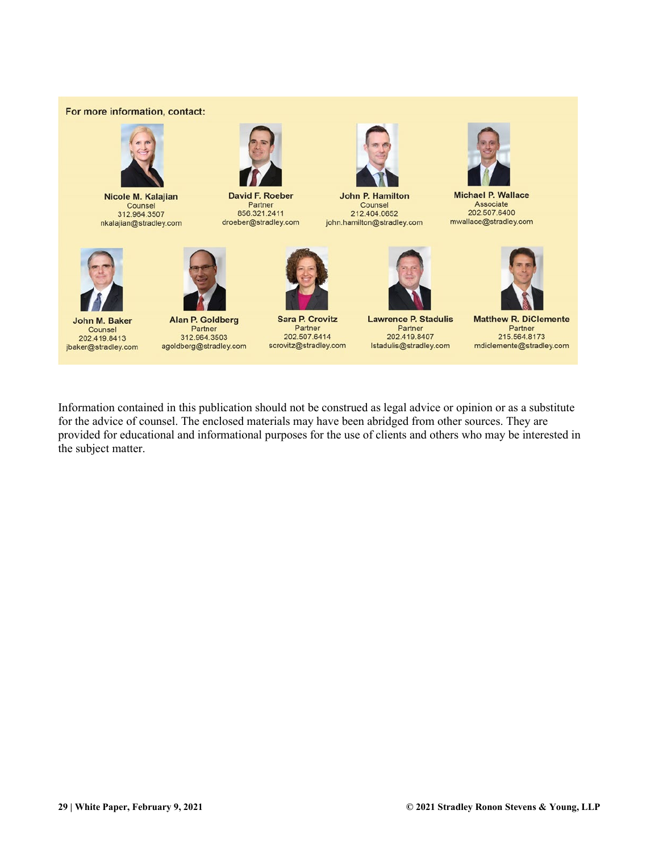#### For more information, contact:



Nicole M. Kalajian Counsel 312.964.3507 nkalajian@stradley.com



**David F. Roeber** Partner 856.321.2411 droeber@stradley.com



**John P. Hamilton** Counsel 212.404.0652 john.hamilton@stradley.com



**Michael P. Wallace** Associate 202.507.6400 mwallace@stradley.com



John M. Baker Counsel 202.419.8413 jbaker@stradley.com



**Alan P. Goldberg** Partner 312.964.3503 agoldberg@stradley.com



**Sara P. Crovitz** Partner 202.507.6414 scrovitz@stradley.com



**Lawrence P. Stadulis** Partner<br>202.419.8407 Istadulis@stradley.com



Partner 215.564.8173 mdiclemente@stradley.com

Information contained in this publication should not be construed as legal advice or opinion or as a substitute for the advice of counsel. The enclosed materials may have been abridged from other sources. They are provided for educational and informational purposes for the use of clients and others who may be interested in the subject matter.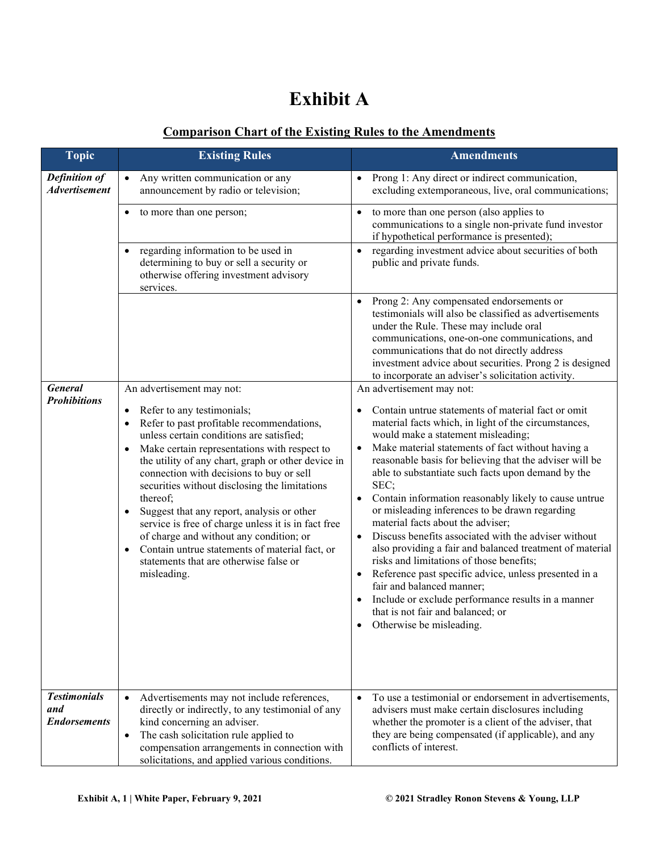## **Exhibit A**

### **Comparison Chart of the Existing Rules to the Amendments**

| <b>Topic</b>                                      | <b>Existing Rules</b>                                                                                                                                                                                                                                                                                                                                                                                                                                                                                                                                                                                                                                                  | <b>Amendments</b>                                                                                                                                                                                                                                                                                                                                                                                                                                                                                                                                                                                                                                                                                                                                                                                                                                                                                                               |  |  |
|---------------------------------------------------|------------------------------------------------------------------------------------------------------------------------------------------------------------------------------------------------------------------------------------------------------------------------------------------------------------------------------------------------------------------------------------------------------------------------------------------------------------------------------------------------------------------------------------------------------------------------------------------------------------------------------------------------------------------------|---------------------------------------------------------------------------------------------------------------------------------------------------------------------------------------------------------------------------------------------------------------------------------------------------------------------------------------------------------------------------------------------------------------------------------------------------------------------------------------------------------------------------------------------------------------------------------------------------------------------------------------------------------------------------------------------------------------------------------------------------------------------------------------------------------------------------------------------------------------------------------------------------------------------------------|--|--|
| Definition of<br><b>Advertisement</b>             | Any written communication or any<br>$\bullet$<br>announcement by radio or television;                                                                                                                                                                                                                                                                                                                                                                                                                                                                                                                                                                                  | Prong 1: Any direct or indirect communication,<br>excluding extemporaneous, live, oral communications;                                                                                                                                                                                                                                                                                                                                                                                                                                                                                                                                                                                                                                                                                                                                                                                                                          |  |  |
|                                                   | to more than one person;<br>٠                                                                                                                                                                                                                                                                                                                                                                                                                                                                                                                                                                                                                                          | to more than one person (also applies to<br>communications to a single non-private fund investor<br>if hypothetical performance is presented);                                                                                                                                                                                                                                                                                                                                                                                                                                                                                                                                                                                                                                                                                                                                                                                  |  |  |
|                                                   | regarding information to be used in<br>٠<br>determining to buy or sell a security or<br>otherwise offering investment advisory<br>services.                                                                                                                                                                                                                                                                                                                                                                                                                                                                                                                            | regarding investment advice about securities of both<br>$\bullet$<br>public and private funds.                                                                                                                                                                                                                                                                                                                                                                                                                                                                                                                                                                                                                                                                                                                                                                                                                                  |  |  |
|                                                   |                                                                                                                                                                                                                                                                                                                                                                                                                                                                                                                                                                                                                                                                        | Prong 2: Any compensated endorsements or<br>testimonials will also be classified as advertisements<br>under the Rule. These may include oral<br>communications, one-on-one communications, and<br>communications that do not directly address<br>investment advice about securities. Prong 2 is designed<br>to incorporate an adviser's solicitation activity.                                                                                                                                                                                                                                                                                                                                                                                                                                                                                                                                                                  |  |  |
| <b>General</b><br><b>Prohibitions</b>             | An advertisement may not:<br>Refer to any testimonials;<br>٠<br>Refer to past profitable recommendations,<br>unless certain conditions are satisfied;<br>Make certain representations with respect to<br>$\bullet$<br>the utility of any chart, graph or other device in<br>connection with decisions to buy or sell<br>securities without disclosing the limitations<br>thereof;<br>Suggest that any report, analysis or other<br>$\bullet$<br>service is free of charge unless it is in fact free<br>of charge and without any condition; or<br>Contain untrue statements of material fact, or<br>$\bullet$<br>statements that are otherwise false or<br>misleading. | An advertisement may not:<br>Contain untrue statements of material fact or omit<br>material facts which, in light of the circumstances,<br>would make a statement misleading;<br>Make material statements of fact without having a<br>reasonable basis for believing that the adviser will be<br>able to substantiate such facts upon demand by the<br>SEC;<br>Contain information reasonably likely to cause untrue<br>or misleading inferences to be drawn regarding<br>material facts about the adviser;<br>Discuss benefits associated with the adviser without<br>$\bullet$<br>also providing a fair and balanced treatment of material<br>risks and limitations of those benefits;<br>Reference past specific advice, unless presented in a<br>$\bullet$<br>fair and balanced manner;<br>Include or exclude performance results in a manner<br>$\bullet$<br>that is not fair and balanced; or<br>Otherwise be misleading. |  |  |
| <b>Testimonials</b><br>and<br><b>Endorsements</b> | Advertisements may not include references,<br>$\bullet$<br>directly or indirectly, to any testimonial of any<br>kind concerning an adviser.<br>The cash solicitation rule applied to<br>$\bullet$<br>compensation arrangements in connection with<br>solicitations, and applied various conditions.                                                                                                                                                                                                                                                                                                                                                                    | To use a testimonial or endorsement in advertisements,<br>advisers must make certain disclosures including<br>whether the promoter is a client of the adviser, that<br>they are being compensated (if applicable), and any<br>conflicts of interest.                                                                                                                                                                                                                                                                                                                                                                                                                                                                                                                                                                                                                                                                            |  |  |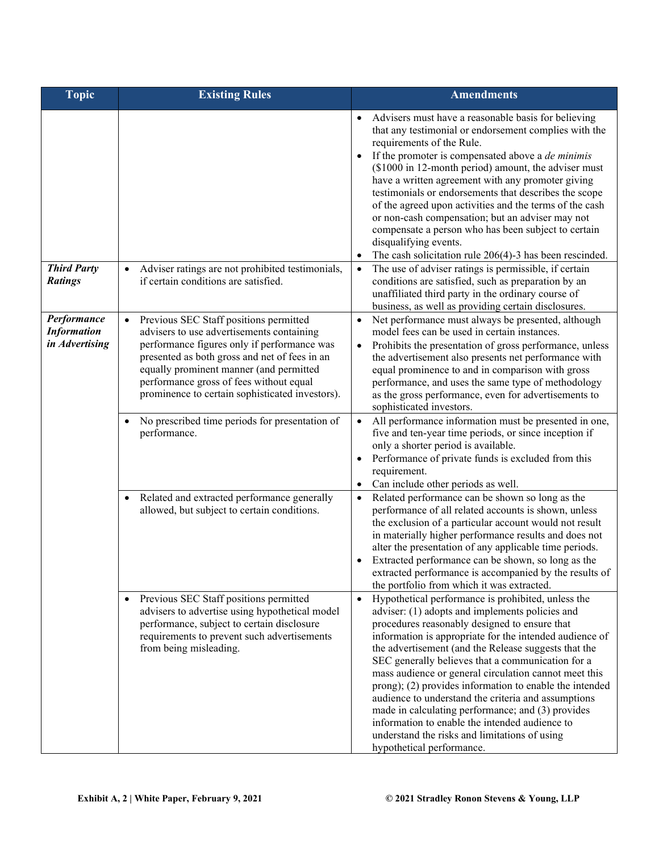| <b>Topic</b>                                        | <b>Existing Rules</b>                                                                                                                                                                                                                                                                                                                     | <b>Amendments</b>                                                                                                                                                                                                                                                                                                                                                                                                                                                                                                                                                                                                                                                                                           |  |  |
|-----------------------------------------------------|-------------------------------------------------------------------------------------------------------------------------------------------------------------------------------------------------------------------------------------------------------------------------------------------------------------------------------------------|-------------------------------------------------------------------------------------------------------------------------------------------------------------------------------------------------------------------------------------------------------------------------------------------------------------------------------------------------------------------------------------------------------------------------------------------------------------------------------------------------------------------------------------------------------------------------------------------------------------------------------------------------------------------------------------------------------------|--|--|
|                                                     |                                                                                                                                                                                                                                                                                                                                           | Advisers must have a reasonable basis for believing<br>that any testimonial or endorsement complies with the<br>requirements of the Rule.<br>If the promoter is compensated above a <i>de minimis</i><br>(\$1000 in 12-month period) amount, the adviser must<br>have a written agreement with any promoter giving<br>testimonials or endorsements that describes the scope<br>of the agreed upon activities and the terms of the cash<br>or non-cash compensation; but an adviser may not<br>compensate a person who has been subject to certain<br>disqualifying events.<br>The cash solicitation rule 206(4)-3 has been rescinded.                                                                       |  |  |
| <b>Third Party</b><br><b>Ratings</b>                | Adviser ratings are not prohibited testimonials,<br>$\bullet$<br>if certain conditions are satisfied.                                                                                                                                                                                                                                     | The use of adviser ratings is permissible, if certain<br>$\bullet$<br>conditions are satisfied, such as preparation by an<br>unaffiliated third party in the ordinary course of<br>business, as well as providing certain disclosures.                                                                                                                                                                                                                                                                                                                                                                                                                                                                      |  |  |
| Performance<br><b>Information</b><br>in Advertising | Previous SEC Staff positions permitted<br>$\bullet$<br>advisers to use advertisements containing<br>performance figures only if performance was<br>presented as both gross and net of fees in an<br>equally prominent manner (and permitted<br>performance gross of fees without equal<br>prominence to certain sophisticated investors). | Net performance must always be presented, although<br>$\bullet$<br>model fees can be used in certain instances.<br>Prohibits the presentation of gross performance, unless<br>$\bullet$<br>the advertisement also presents net performance with<br>equal prominence to and in comparison with gross<br>performance, and uses the same type of methodology<br>as the gross performance, even for advertisements to<br>sophisticated investors.                                                                                                                                                                                                                                                               |  |  |
|                                                     | No prescribed time periods for presentation of<br>$\bullet$<br>performance.                                                                                                                                                                                                                                                               | All performance information must be presented in one,<br>$\bullet$<br>five and ten-year time periods, or since inception if<br>only a shorter period is available.<br>Performance of private funds is excluded from this<br>requirement.<br>Can include other periods as well.                                                                                                                                                                                                                                                                                                                                                                                                                              |  |  |
|                                                     | Related and extracted performance generally<br>$\bullet$<br>allowed, but subject to certain conditions.                                                                                                                                                                                                                                   | Related performance can be shown so long as the<br>$\bullet$<br>performance of all related accounts is shown, unless<br>the exclusion of a particular account would not result<br>in materially higher performance results and does not<br>alter the presentation of any applicable time periods.<br>Extracted performance can be shown, so long as the<br>extracted performance is accompanied by the results of<br>the portfolio from which it was extracted.                                                                                                                                                                                                                                             |  |  |
|                                                     | Previous SEC Staff positions permitted<br>$\bullet$<br>advisers to advertise using hypothetical model<br>performance, subject to certain disclosure<br>requirements to prevent such advertisements<br>from being misleading.                                                                                                              | Hypothetical performance is prohibited, unless the<br>$\bullet$<br>adviser: (1) adopts and implements policies and<br>procedures reasonably designed to ensure that<br>information is appropriate for the intended audience of<br>the advertisement (and the Release suggests that the<br>SEC generally believes that a communication for a<br>mass audience or general circulation cannot meet this<br>prong); (2) provides information to enable the intended<br>audience to understand the criteria and assumptions<br>made in calculating performance; and (3) provides<br>information to enable the intended audience to<br>understand the risks and limitations of using<br>hypothetical performance. |  |  |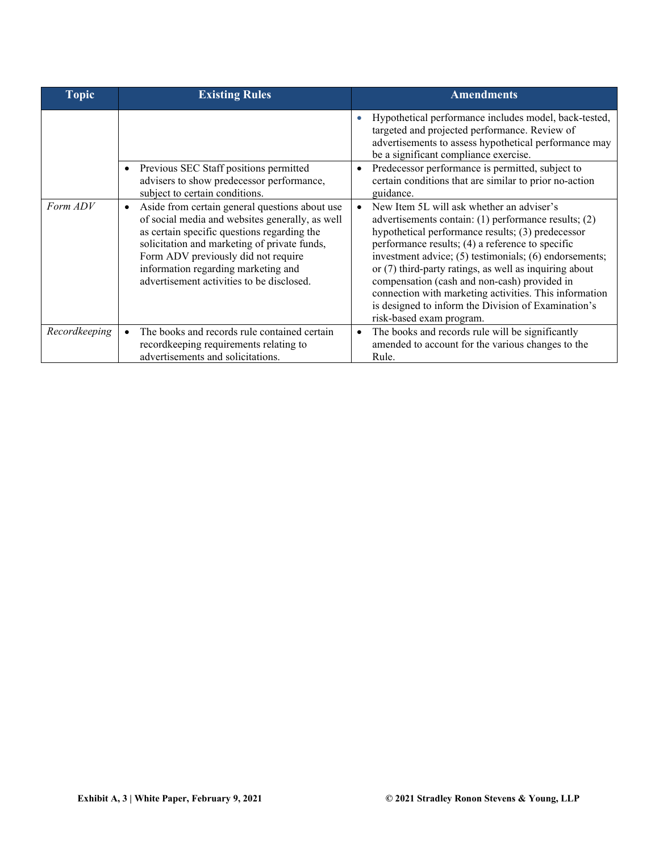| <b>Topic</b>  | <b>Existing Rules</b>                                                                                                                                                                                                                                                                                                                    | <b>Amendments</b>                                                                                                                                                                                                                                                                                                                                                                                                                                                                                                             |
|---------------|------------------------------------------------------------------------------------------------------------------------------------------------------------------------------------------------------------------------------------------------------------------------------------------------------------------------------------------|-------------------------------------------------------------------------------------------------------------------------------------------------------------------------------------------------------------------------------------------------------------------------------------------------------------------------------------------------------------------------------------------------------------------------------------------------------------------------------------------------------------------------------|
|               |                                                                                                                                                                                                                                                                                                                                          | Hypothetical performance includes model, back-tested,<br>targeted and projected performance. Review of<br>advertisements to assess hypothetical performance may<br>be a significant compliance exercise.                                                                                                                                                                                                                                                                                                                      |
|               | Previous SEC Staff positions permitted<br>advisers to show predecessor performance,<br>subject to certain conditions.                                                                                                                                                                                                                    | Predecessor performance is permitted, subject to<br>certain conditions that are similar to prior no-action<br>guidance.                                                                                                                                                                                                                                                                                                                                                                                                       |
| Form ADV      | Aside from certain general questions about use<br>$\bullet$<br>of social media and websites generally, as well<br>as certain specific questions regarding the<br>solicitation and marketing of private funds,<br>Form ADV previously did not require<br>information regarding marketing and<br>advertisement activities to be disclosed. | New Item 5L will ask whether an adviser's<br>advertisements contain: (1) performance results; (2)<br>hypothetical performance results; (3) predecessor<br>performance results; (4) a reference to specific<br>investment advice; (5) testimonials; (6) endorsements;<br>or $(7)$ third-party ratings, as well as inquiring about<br>compensation (cash and non-cash) provided in<br>connection with marketing activities. This information<br>is designed to inform the Division of Examination's<br>risk-based exam program. |
| Recordkeeping | The books and records rule contained certain<br>recordkeeping requirements relating to<br>advertisements and solicitations.                                                                                                                                                                                                              | The books and records rule will be significantly<br>$\bullet$<br>amended to account for the various changes to the<br>Rule.                                                                                                                                                                                                                                                                                                                                                                                                   |